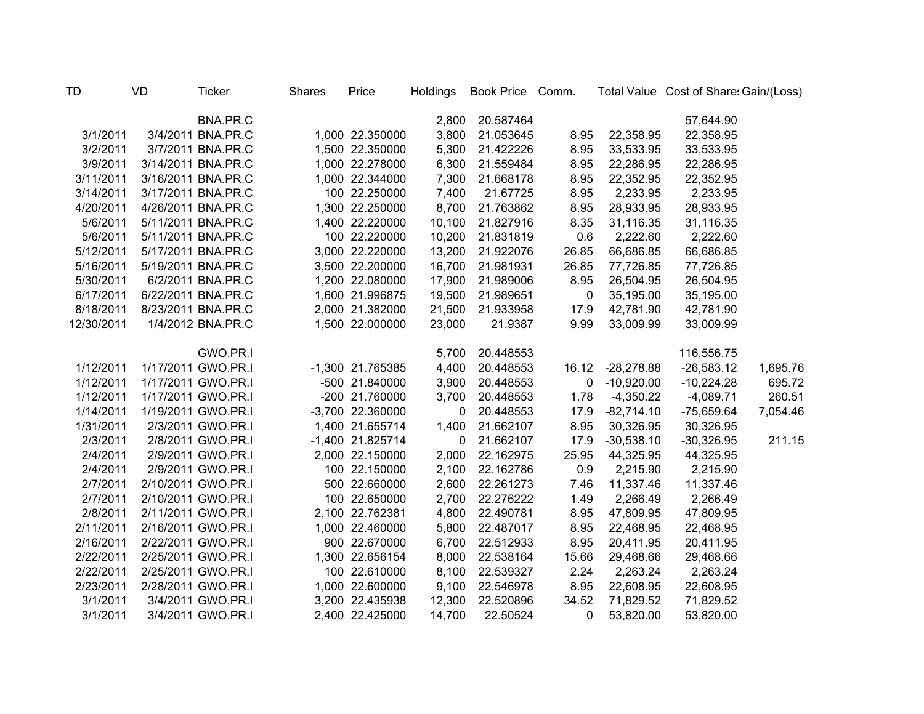| <b>TD</b>  | <b>VD</b> | <b>Ticker</b>      | <b>Shares</b> | Price            | Holdings    | Book Price Comm. |          |              | Total Value Cost of Share: Gain/(Loss) |          |
|------------|-----------|--------------------|---------------|------------------|-------------|------------------|----------|--------------|----------------------------------------|----------|
|            |           | BNA.PR.C           |               |                  | 2,800       | 20.587464        |          |              | 57,644.90                              |          |
| 3/1/2011   |           | 3/4/2011 BNA.PR.C  |               | 1,000 22.350000  | 3,800       | 21.053645        | 8.95     | 22,358.95    | 22,358.95                              |          |
| 3/2/2011   |           | 3/7/2011 BNA.PR.C  |               | 1,500 22.350000  | 5,300       | 21.422226        | 8.95     | 33,533.95    | 33,533.95                              |          |
| 3/9/2011   |           | 3/14/2011 BNA.PR.C |               | 1,000 22.278000  | 6,300       | 21.559484        | 8.95     | 22,286.95    | 22,286.95                              |          |
| 3/11/2011  |           | 3/16/2011 BNA.PR.C |               | 1,000 22.344000  | 7,300       | 21.668178        | 8.95     | 22,352.95    | 22,352.95                              |          |
| 3/14/2011  |           | 3/17/2011 BNA.PR.C |               | 100 22.250000    | 7,400       | 21.67725         | 8.95     | 2,233.95     | 2,233.95                               |          |
| 4/20/2011  |           | 4/26/2011 BNA.PR.C |               | 1,300 22.250000  | 8,700       | 21.763862        | 8.95     | 28,933.95    | 28,933.95                              |          |
| 5/6/2011   |           | 5/11/2011 BNA.PR.C |               | 1,400 22.220000  | 10,100      | 21.827916        | 8.35     | 31,116.35    | 31,116.35                              |          |
| 5/6/2011   |           | 5/11/2011 BNA.PR.C |               | 100 22.220000    | 10,200      | 21.831819        | 0.6      | 2,222.60     | 2,222.60                               |          |
| 5/12/2011  |           | 5/17/2011 BNA.PR.C |               | 3,000 22.220000  | 13,200      | 21.922076        | 26.85    | 66,686.85    | 66,686.85                              |          |
| 5/16/2011  |           | 5/19/2011 BNA.PR.C |               | 3,500 22.200000  | 16,700      | 21.981931        | 26.85    | 77,726.85    | 77,726.85                              |          |
| 5/30/2011  |           | 6/2/2011 BNA.PR.C  |               | 1,200 22.080000  | 17,900      | 21.989006        | 8.95     | 26,504.95    | 26,504.95                              |          |
| 6/17/2011  |           | 6/22/2011 BNA.PR.C |               | 1,600 21.996875  | 19,500      | 21.989651        | 0        | 35,195.00    | 35,195.00                              |          |
| 8/18/2011  |           | 8/23/2011 BNA.PR.C |               | 2,000 21.382000  | 21,500      | 21.933958        | 17.9     | 42,781.90    | 42,781.90                              |          |
| 12/30/2011 |           | 1/4/2012 BNA.PR.C  |               | 1,500 22.000000  | 23,000      | 21.9387          | 9.99     | 33,009.99    | 33,009.99                              |          |
|            |           |                    |               |                  |             |                  |          |              |                                        |          |
|            |           | GWO.PR.I           |               |                  | 5,700       | 20.448553        |          |              | 116,556.75                             |          |
| 1/12/2011  |           | 1/17/2011 GWO.PR.I |               | -1,300 21.765385 | 4,400       | 20.448553        | 16.12    | $-28,278.88$ | $-26,583.12$                           | 1,695.76 |
| 1/12/2011  |           | 1/17/2011 GWO.PR.I |               | -500 21.840000   | 3,900       | 20.448553        | 0        | $-10,920.00$ | $-10,224.28$                           | 695.72   |
| 1/12/2011  |           | 1/17/2011 GWO.PR.I |               | -200 21.760000   | 3,700       | 20.448553        | 1.78     | $-4,350.22$  | $-4,089.71$                            | 260.51   |
| 1/14/2011  |           | 1/19/2011 GWO.PR.I |               | -3,700 22.360000 | 0           | 20.448553        | 17.9     | $-82,714.10$ | $-75,659.64$                           | 7,054.46 |
| 1/31/2011  |           | 2/3/2011 GWO.PR.I  |               | 1,400 21.655714  | 1,400       | 21.662107        | 8.95     | 30,326.95    | 30,326.95                              |          |
| 2/3/2011   |           | 2/8/2011 GWO.PR.I  |               | -1,400 21.825714 | $\mathbf 0$ | 21.662107        | 17.9     | $-30,538.10$ | $-30,326.95$                           | 211.15   |
| 2/4/2011   |           | 2/9/2011 GWO.PR.I  |               | 2,000 22.150000  | 2,000       | 22.162975        | 25.95    | 44,325.95    | 44,325.95                              |          |
| 2/4/2011   |           | 2/9/2011 GWO.PR.I  |               | 100 22.150000    | 2,100       | 22.162786        | 0.9      | 2,215.90     | 2,215.90                               |          |
| 2/7/2011   |           | 2/10/2011 GWO.PR.I |               | 500 22.660000    | 2,600       | 22.261273        | 7.46     | 11,337.46    | 11,337.46                              |          |
| 2/7/2011   |           | 2/10/2011 GWO.PR.I |               | 100 22.650000    | 2,700       | 22.276222        | 1.49     | 2,266.49     | 2,266.49                               |          |
| 2/8/2011   |           | 2/11/2011 GWO.PR.I |               | 2,100 22.762381  | 4,800       | 22.490781        | 8.95     | 47,809.95    | 47,809.95                              |          |
| 2/11/2011  |           | 2/16/2011 GWO.PR.I |               | 1,000 22.460000  | 5,800       | 22.487017        | 8.95     | 22,468.95    | 22,468.95                              |          |
| 2/16/2011  |           | 2/22/2011 GWO.PR.I |               | 900 22.670000    | 6,700       | 22.512933        | 8.95     | 20,411.95    | 20,411.95                              |          |
| 2/22/2011  |           | 2/25/2011 GWO.PR.I |               | 1,300 22.656154  | 8,000       | 22.538164        | 15.66    | 29,468.66    | 29,468.66                              |          |
| 2/22/2011  |           | 2/25/2011 GWO.PR.I |               | 100 22.610000    | 8,100       | 22.539327        | 2.24     | 2,263.24     | 2,263.24                               |          |
| 2/23/2011  |           | 2/28/2011 GWO.PR.I |               | 1,000 22.600000  | 9,100       | 22.546978        | 8.95     | 22,608.95    | 22,608.95                              |          |
| 3/1/2011   |           | 3/4/2011 GWO.PR.I  |               | 3,200 22.435938  | 12,300      | 22.520896        | 34.52    | 71,829.52    | 71,829.52                              |          |
| 3/1/2011   |           | 3/4/2011 GWO.PR.I  |               | 2,400 22.425000  | 14,700      | 22.50524         | $\Omega$ | 53,820.00    | 53,820.00                              |          |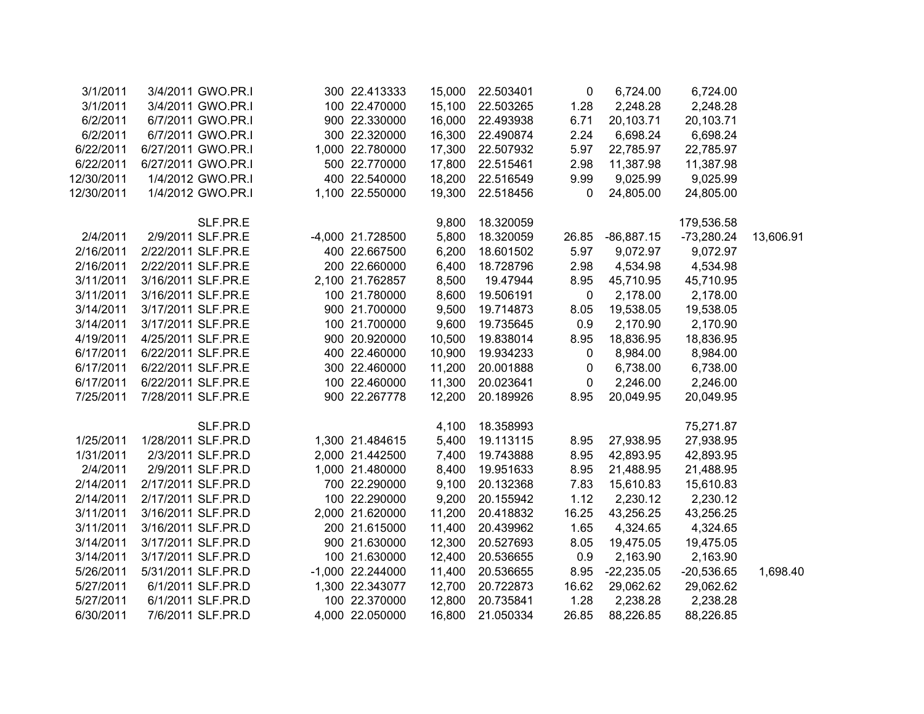| 3/1/2011   | 3/4/2011 GWO.PR.I  | 300 22.413333    | 15,000 | 22.503401 | 0           | 6,724.00     | 6,724.00     |           |
|------------|--------------------|------------------|--------|-----------|-------------|--------------|--------------|-----------|
| 3/1/2011   | 3/4/2011 GWO.PR.I  | 100 22.470000    | 15,100 | 22.503265 | 1.28        | 2,248.28     | 2,248.28     |           |
| 6/2/2011   | 6/7/2011 GWO.PR.I  | 900 22.330000    | 16,000 | 22.493938 | 6.71        | 20,103.71    | 20,103.71    |           |
| 6/2/2011   | 6/7/2011 GWO.PR.I  | 300 22.320000    | 16,300 | 22.490874 | 2.24        | 6,698.24     | 6,698.24     |           |
| 6/22/2011  | 6/27/2011 GWO.PR.I | 1,000 22.780000  | 17,300 | 22.507932 | 5.97        | 22,785.97    | 22,785.97    |           |
| 6/22/2011  | 6/27/2011 GWO.PR.I | 500 22.770000    | 17,800 | 22.515461 | 2.98        | 11,387.98    | 11,387.98    |           |
| 12/30/2011 | 1/4/2012 GWO.PR.I  | 400 22.540000    | 18,200 | 22.516549 | 9.99        | 9,025.99     | 9,025.99     |           |
| 12/30/2011 | 1/4/2012 GWO.PR.I  | 1,100 22.550000  | 19,300 | 22.518456 | 0           | 24,805.00    | 24,805.00    |           |
|            | SLF.PR.E           |                  | 9,800  | 18.320059 |             |              | 179,536.58   |           |
| 2/4/2011   | 2/9/2011 SLF.PR.E  | -4,000 21.728500 | 5,800  | 18.320059 | 26.85       | $-86,887.15$ | $-73,280.24$ | 13,606.91 |
| 2/16/2011  | 2/22/2011 SLF.PR.E | 400 22.667500    | 6,200  | 18.601502 | 5.97        | 9,072.97     | 9,072.97     |           |
| 2/16/2011  | 2/22/2011 SLF.PR.E | 200 22.660000    | 6,400  | 18.728796 | 2.98        | 4,534.98     | 4,534.98     |           |
| 3/11/2011  | 3/16/2011 SLF.PR.E | 2,100 21.762857  | 8,500  | 19.47944  | 8.95        | 45,710.95    | 45,710.95    |           |
| 3/11/2011  | 3/16/2011 SLF.PR.E | 100 21.780000    | 8,600  | 19.506191 | $\mathbf 0$ | 2,178.00     | 2,178.00     |           |
| 3/14/2011  | 3/17/2011 SLF.PR.E | 900 21.700000    | 9,500  | 19.714873 | 8.05        | 19,538.05    | 19,538.05    |           |
| 3/14/2011  | 3/17/2011 SLF.PR.E | 100 21.700000    | 9,600  | 19.735645 | 0.9         | 2,170.90     | 2,170.90     |           |
| 4/19/2011  | 4/25/2011 SLF.PR.E | 900 20.920000    | 10,500 | 19.838014 | 8.95        | 18,836.95    | 18,836.95    |           |
| 6/17/2011  | 6/22/2011 SLF.PR.E | 400 22.460000    | 10,900 | 19.934233 | 0           | 8,984.00     | 8,984.00     |           |
| 6/17/2011  | 6/22/2011 SLF.PR.E | 300 22.460000    | 11,200 | 20.001888 | 0           | 6,738.00     | 6,738.00     |           |
| 6/17/2011  | 6/22/2011 SLF.PR.E | 100 22.460000    | 11,300 | 20.023641 | $\mathbf 0$ | 2,246.00     | 2,246.00     |           |
| 7/25/2011  | 7/28/2011 SLF.PR.E | 900 22.267778    | 12,200 | 20.189926 | 8.95        | 20,049.95    | 20,049.95    |           |
|            |                    |                  |        |           |             |              |              |           |
|            | SLF.PR.D           |                  | 4,100  | 18.358993 |             |              | 75,271.87    |           |
| 1/25/2011  | 1/28/2011 SLF.PR.D | 1,300 21.484615  | 5,400  | 19.113115 | 8.95        | 27,938.95    | 27,938.95    |           |
| 1/31/2011  | 2/3/2011 SLF.PR.D  | 2,000 21.442500  | 7,400  | 19.743888 | 8.95        | 42,893.95    | 42,893.95    |           |
| 2/4/2011   | 2/9/2011 SLF.PR.D  | 1,000 21.480000  | 8,400  | 19.951633 | 8.95        | 21,488.95    | 21,488.95    |           |
| 2/14/2011  | 2/17/2011 SLF.PR.D | 700 22.290000    | 9,100  | 20.132368 | 7.83        | 15,610.83    | 15,610.83    |           |
| 2/14/2011  | 2/17/2011 SLF.PR.D | 100 22.290000    | 9,200  | 20.155942 | 1.12        | 2,230.12     | 2,230.12     |           |
| 3/11/2011  | 3/16/2011 SLF.PR.D | 2,000 21.620000  | 11,200 | 20.418832 | 16.25       | 43,256.25    | 43,256.25    |           |
| 3/11/2011  | 3/16/2011 SLF.PR.D | 200 21.615000    | 11,400 | 20.439962 | 1.65        | 4,324.65     | 4,324.65     |           |
| 3/14/2011  | 3/17/2011 SLF.PR.D | 900 21.630000    | 12,300 | 20.527693 | 8.05        | 19,475.05    | 19,475.05    |           |
| 3/14/2011  | 3/17/2011 SLF.PR.D | 100 21.630000    | 12,400 | 20.536655 | 0.9         | 2,163.90     | 2,163.90     |           |
| 5/26/2011  | 5/31/2011 SLF.PR.D | -1,000 22.244000 | 11,400 | 20.536655 | 8.95        | $-22,235.05$ | $-20,536.65$ | 1,698.40  |
| 5/27/2011  | 6/1/2011 SLF.PR.D  | 1,300 22.343077  | 12,700 | 20.722873 | 16.62       | 29,062.62    | 29,062.62    |           |
| 5/27/2011  | 6/1/2011 SLF.PR.D  | 100 22.370000    | 12,800 | 20.735841 | 1.28        | 2,238.28     | 2,238.28     |           |
| 6/30/2011  | 7/6/2011 SLF.PR.D  | 4,000 22.050000  | 16,800 | 21.050334 | 26.85       | 88,226.85    | 88,226.85    |           |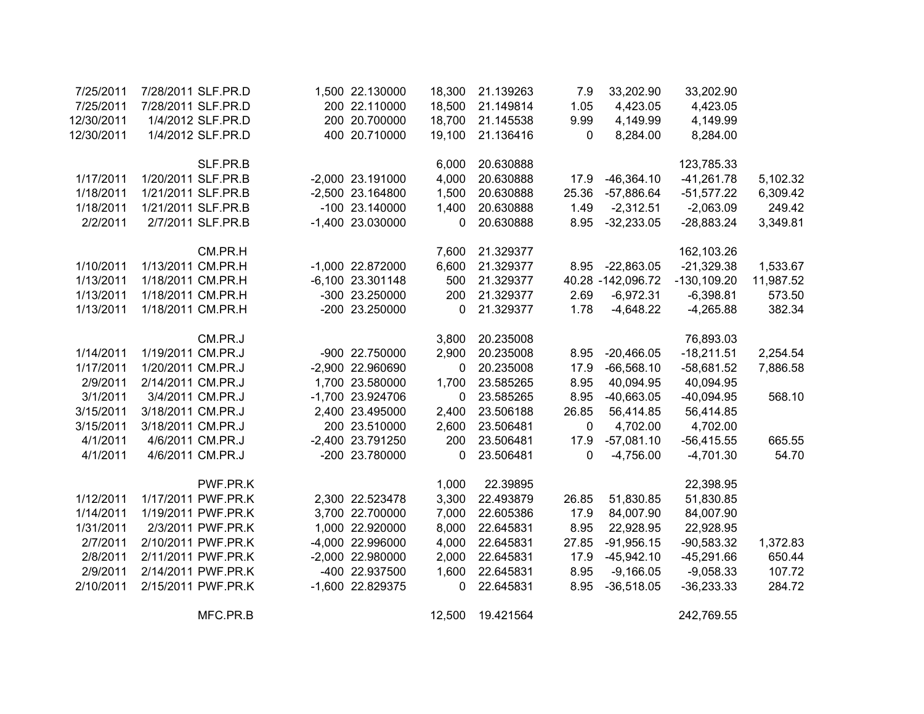| 7/25/2011  |                   | 7/28/2011 SLF.PR.D | 1,500 22.130000    | 18,300 | 21.139263 | 7.9          | 33,202.90         | 33,202.90      |           |
|------------|-------------------|--------------------|--------------------|--------|-----------|--------------|-------------------|----------------|-----------|
| 7/25/2011  |                   | 7/28/2011 SLF.PR.D | 200 22.110000      | 18,500 | 21.149814 | 1.05         | 4,423.05          | 4,423.05       |           |
| 12/30/2011 |                   | 1/4/2012 SLF.PR.D  | 200 20.700000      | 18,700 | 21.145538 | 9.99         | 4,149.99          | 4,149.99       |           |
| 12/30/2011 |                   | 1/4/2012 SLF.PR.D  | 400 20.710000      | 19,100 | 21.136416 | $\mathbf{0}$ | 8,284.00          | 8,284.00       |           |
|            |                   | SLF.PR.B           |                    | 6,000  | 20.630888 |              |                   | 123,785.33     |           |
| 1/17/2011  |                   | 1/20/2011 SLF.PR.B | -2,000 23.191000   | 4,000  | 20.630888 | 17.9         | $-46,364.10$      | $-41,261.78$   | 5,102.32  |
| 1/18/2011  |                   | 1/21/2011 SLF.PR.B | -2,500 23.164800   | 1,500  | 20.630888 | 25.36        | $-57,886.64$      | $-51,577.22$   | 6,309.42  |
| 1/18/2011  |                   | 1/21/2011 SLF.PR.B | -100 23.140000     | 1,400  | 20.630888 | 1.49         | $-2,312.51$       | $-2,063.09$    | 249.42    |
| 2/2/2011   |                   | 2/7/2011 SLF.PR.B  | -1,400 23.030000   | 0      | 20.630888 | 8.95         | $-32,233.05$      | $-28,883.24$   | 3,349.81  |
|            |                   | CM.PR.H            |                    | 7,600  | 21.329377 |              |                   | 162,103.26     |           |
| 1/10/2011  |                   | 1/13/2011 CM.PR.H  | -1,000 22.872000   | 6,600  | 21.329377 | 8.95         | $-22,863.05$      | $-21,329.38$   | 1,533.67  |
| 1/13/2011  |                   | 1/18/2011 CM.PR.H  | $-6,100$ 23.301148 | 500    | 21.329377 |              | 40.28 -142,096.72 | $-130, 109.20$ | 11,987.52 |
| 1/13/2011  |                   | 1/18/2011 CM.PR.H  | -300 23.250000     | 200    | 21.329377 | 2.69         | $-6,972.31$       | $-6,398.81$    | 573.50    |
| 1/13/2011  |                   | 1/18/2011 CM.PR.H  | -200 23.250000     | 0      | 21.329377 | 1.78         | $-4,648.22$       | $-4,265.88$    | 382.34    |
|            |                   | CM.PR.J            |                    | 3,800  | 20.235008 |              |                   | 76,893.03      |           |
| 1/14/2011  | 1/19/2011 CM.PR.J |                    | -900 22.750000     | 2,900  | 20.235008 | 8.95         | $-20,466.05$      | $-18,211.51$   | 2,254.54  |
| 1/17/2011  | 1/20/2011 CM.PR.J |                    | -2,900 22.960690   | 0      | 20.235008 | 17.9         | $-66,568.10$      | $-58,681.52$   | 7,886.58  |
| 2/9/2011   | 2/14/2011 CM.PR.J |                    | 1,700 23.580000    | 1,700  | 23.585265 | 8.95         | 40,094.95         | 40,094.95      |           |
| 3/1/2011   |                   | 3/4/2011 CM.PR.J   | -1,700 23.924706   | 0      | 23.585265 | 8.95         | $-40,663.05$      | $-40,094.95$   | 568.10    |
| 3/15/2011  | 3/18/2011 CM.PR.J |                    | 2,400 23.495000    | 2,400  | 23.506188 | 26.85        | 56,414.85         | 56,414.85      |           |
| 3/15/2011  | 3/18/2011 CM.PR.J |                    | 200 23.510000      | 2,600  | 23.506481 | $\mathbf 0$  | 4,702.00          | 4,702.00       |           |
| 4/1/2011   |                   | 4/6/2011 CM.PR.J   | -2,400 23.791250   | 200    | 23.506481 | 17.9         | $-57,081.10$      | $-56,415.55$   | 665.55    |
| 4/1/2011   |                   | 4/6/2011 CM.PR.J   | -200 23.780000     | 0      | 23.506481 | 0            | $-4,756.00$       | $-4,701.30$    | 54.70     |
|            |                   | PWF.PR.K           |                    | 1,000  | 22.39895  |              |                   | 22,398.95      |           |
| 1/12/2011  |                   | 1/17/2011 PWF.PR.K | 2,300 22.523478    | 3,300  | 22.493879 | 26.85        | 51,830.85         | 51,830.85      |           |
| 1/14/2011  |                   | 1/19/2011 PWF.PR.K | 3,700 22.700000    | 7,000  | 22.605386 | 17.9         | 84,007.90         | 84,007.90      |           |
| 1/31/2011  |                   | 2/3/2011 PWF.PR.K  | 1,000 22.920000    | 8,000  | 22.645831 | 8.95         | 22,928.95         | 22,928.95      |           |
| 2/7/2011   |                   | 2/10/2011 PWF.PR.K | -4,000 22.996000   | 4,000  | 22.645831 | 27.85        | $-91,956.15$      | $-90,583.32$   | 1,372.83  |
| 2/8/2011   |                   | 2/11/2011 PWF.PR.K | -2,000 22.980000   | 2,000  | 22.645831 | 17.9         | $-45,942.10$      | $-45,291.66$   | 650.44    |
| 2/9/2011   |                   | 2/14/2011 PWF.PR.K | -400 22.937500     | 1,600  | 22.645831 | 8.95         | $-9,166.05$       | $-9,058.33$    | 107.72    |
| 2/10/2011  |                   | 2/15/2011 PWF.PR.K | -1,600 22.829375   | 0      | 22.645831 | 8.95         | $-36,518.05$      | $-36,233.33$   | 284.72    |
|            |                   | MFC.PR.B           |                    | 12,500 | 19.421564 |              |                   | 242,769.55     |           |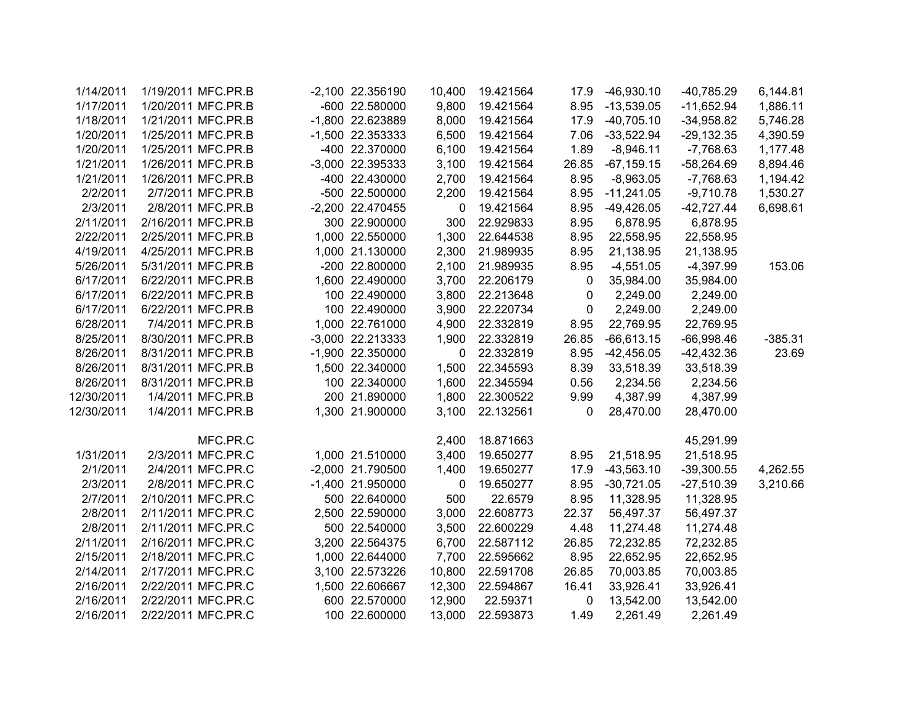| 1/14/2011  | 1/19/2011 MFC.PR.B |          | -2,100 22.356190   | 10,400      | 19.421564 | 17.9        | $-46,930.10$ | $-40,785.29$ | 6,144.81  |
|------------|--------------------|----------|--------------------|-------------|-----------|-------------|--------------|--------------|-----------|
| 1/17/2011  | 1/20/2011 MFC.PR.B |          | -600 22.580000     | 9,800       | 19.421564 | 8.95        | $-13,539.05$ | $-11,652.94$ | 1,886.11  |
| 1/18/2011  | 1/21/2011 MFC.PR.B |          | -1,800 22.623889   | 8,000       | 19.421564 | 17.9        | $-40,705.10$ | $-34,958.82$ | 5,746.28  |
| 1/20/2011  | 1/25/2011 MFC.PR.B |          | -1,500 22.353333   | 6,500       | 19.421564 | 7.06        | $-33,522.94$ | $-29,132.35$ | 4,390.59  |
| 1/20/2011  | 1/25/2011 MFC.PR.B |          | -400 22.370000     | 6,100       | 19.421564 | 1.89        | $-8,946.11$  | $-7,768.63$  | 1,177.48  |
| 1/21/2011  | 1/26/2011 MFC.PR.B |          | -3,000 22.395333   | 3,100       | 19.421564 | 26.85       | $-67,159.15$ | $-58,264.69$ | 8,894.46  |
| 1/21/2011  | 1/26/2011 MFC.PR.B |          | -400 22.430000     | 2,700       | 19.421564 | 8.95        | $-8,963.05$  | $-7,768.63$  | 1,194.42  |
| 2/2/2011   | 2/7/2011 MFC.PR.B  |          | -500 22.500000     | 2,200       | 19.421564 | 8.95        | $-11,241.05$ | $-9,710.78$  | 1,530.27  |
| 2/3/2011   | 2/8/2011 MFC.PR.B  |          | -2,200 22.470455   | 0           | 19.421564 | 8.95        | -49,426.05   | $-42,727.44$ | 6,698.61  |
| 2/11/2011  | 2/16/2011 MFC.PR.B |          | 300 22.900000      | 300         | 22.929833 | 8.95        | 6,878.95     | 6,878.95     |           |
| 2/22/2011  | 2/25/2011 MFC.PR.B |          | 1,000 22.550000    | 1,300       | 22.644538 | 8.95        | 22,558.95    | 22,558.95    |           |
| 4/19/2011  | 4/25/2011 MFC.PR.B |          | 1,000 21.130000    | 2,300       | 21.989935 | 8.95        | 21,138.95    | 21,138.95    |           |
| 5/26/2011  | 5/31/2011 MFC.PR.B |          | -200 22.800000     | 2,100       | 21.989935 | 8.95        | $-4,551.05$  | $-4,397.99$  | 153.06    |
| 6/17/2011  | 6/22/2011 MFC.PR.B |          | 1,600 22.490000    | 3,700       | 22.206179 | 0           | 35,984.00    | 35,984.00    |           |
| 6/17/2011  | 6/22/2011 MFC.PR.B |          | 100 22.490000      | 3,800       | 22.213648 | 0           | 2,249.00     | 2,249.00     |           |
| 6/17/2011  | 6/22/2011 MFC.PR.B |          | 100 22.490000      | 3,900       | 22.220734 | $\mathbf 0$ | 2,249.00     | 2,249.00     |           |
| 6/28/2011  | 7/4/2011 MFC.PR.B  |          | 1,000 22.761000    | 4,900       | 22.332819 | 8.95        | 22,769.95    | 22,769.95    |           |
| 8/25/2011  | 8/30/2011 MFC.PR.B |          | $-3,000$ 22.213333 | 1,900       | 22.332819 | 26.85       | $-66,613.15$ | $-66,998.46$ | $-385.31$ |
| 8/26/2011  | 8/31/2011 MFC.PR.B |          | -1,900 22.350000   | 0           | 22.332819 | 8.95        | $-42,456.05$ | $-42,432.36$ | 23.69     |
| 8/26/2011  | 8/31/2011 MFC.PR.B |          | 1,500 22.340000    | 1,500       | 22.345593 | 8.39        | 33,518.39    | 33,518.39    |           |
| 8/26/2011  | 8/31/2011 MFC.PR.B |          | 100 22.340000      | 1,600       | 22.345594 | 0.56        | 2,234.56     | 2,234.56     |           |
| 12/30/2011 | 1/4/2011 MFC.PR.B  |          | 200 21.890000      | 1,800       | 22.300522 | 9.99        | 4,387.99     | 4,387.99     |           |
| 12/30/2011 | 1/4/2011 MFC.PR.B  |          | 1,300 21.900000    | 3,100       | 22.132561 | 0           | 28,470.00    | 28,470.00    |           |
|            |                    | MFC.PR.C |                    | 2,400       | 18.871663 |             |              | 45,291.99    |           |
| 1/31/2011  | 2/3/2011 MFC.PR.C  |          | 1,000 21.510000    | 3,400       | 19.650277 | 8.95        | 21,518.95    | 21,518.95    |           |
| 2/1/2011   | 2/4/2011 MFC.PR.C  |          | -2,000 21.790500   | 1,400       | 19.650277 | 17.9        | $-43,563.10$ | $-39,300.55$ | 4,262.55  |
| 2/3/2011   | 2/8/2011 MFC.PR.C  |          | -1,400 21.950000   | $\mathbf 0$ | 19.650277 | 8.95        | $-30,721.05$ | $-27,510.39$ | 3,210.66  |
| 2/7/2011   | 2/10/2011 MFC.PR.C |          | 500 22.640000      | 500         | 22.6579   | 8.95        | 11,328.95    | 11,328.95    |           |
| 2/8/2011   | 2/11/2011 MFC.PR.C |          | 2,500 22.590000    | 3,000       | 22.608773 | 22.37       | 56,497.37    | 56,497.37    |           |
| 2/8/2011   | 2/11/2011 MFC.PR.C |          | 500 22.540000      | 3,500       | 22.600229 | 4.48        | 11,274.48    | 11,274.48    |           |
| 2/11/2011  | 2/16/2011 MFC.PR.C |          | 3,200 22.564375    | 6,700       | 22.587112 | 26.85       | 72,232.85    | 72,232.85    |           |
| 2/15/2011  | 2/18/2011 MFC.PR.C |          | 1,000 22.644000    | 7,700       | 22.595662 | 8.95        | 22,652.95    | 22,652.95    |           |
| 2/14/2011  | 2/17/2011 MFC.PR.C |          | 3,100 22.573226    | 10,800      | 22.591708 | 26.85       | 70,003.85    | 70,003.85    |           |
| 2/16/2011  | 2/22/2011 MFC.PR.C |          | 1,500 22.606667    | 12,300      | 22.594867 | 16.41       | 33,926.41    | 33,926.41    |           |
| 2/16/2011  | 2/22/2011 MFC.PR.C |          | 600 22.570000      | 12,900      | 22.59371  | 0           | 13,542.00    | 13,542.00    |           |
| 2/16/2011  | 2/22/2011 MFC.PR.C |          | 100 22.600000      | 13,000      | 22.593873 | 1.49        | 2,261.49     | 2,261.49     |           |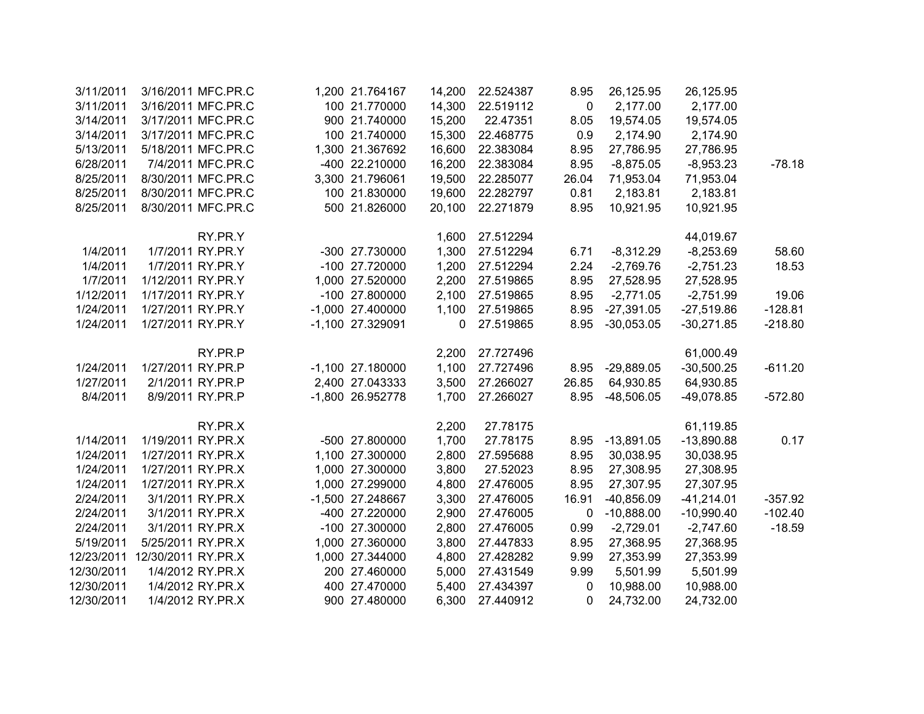| 3/11/2011  |                    | 3/16/2011 MFC.PR.C | 1,200 21.764167    | 14,200 | 22.524387 | 8.95  | 26,125.95    | 26,125.95    |           |
|------------|--------------------|--------------------|--------------------|--------|-----------|-------|--------------|--------------|-----------|
| 3/11/2011  |                    | 3/16/2011 MFC.PR.C | 100 21.770000      | 14,300 | 22.519112 | 0     | 2,177.00     | 2,177.00     |           |
| 3/14/2011  |                    | 3/17/2011 MFC.PR.C | 900 21.740000      | 15,200 | 22.47351  | 8.05  | 19,574.05    | 19,574.05    |           |
| 3/14/2011  |                    | 3/17/2011 MFC.PR.C | 100 21.740000      | 15,300 | 22.468775 | 0.9   | 2,174.90     | 2,174.90     |           |
| 5/13/2011  |                    | 5/18/2011 MFC.PR.C | 1,300 21.367692    | 16,600 | 22.383084 | 8.95  | 27,786.95    | 27,786.95    |           |
| 6/28/2011  |                    | 7/4/2011 MFC.PR.C  | -400 22.210000     | 16,200 | 22.383084 | 8.95  | $-8,875.05$  | $-8,953.23$  | $-78.18$  |
| 8/25/2011  |                    | 8/30/2011 MFC.PR.C | 3,300 21.796061    | 19,500 | 22.285077 | 26.04 | 71,953.04    | 71,953.04    |           |
| 8/25/2011  |                    | 8/30/2011 MFC.PR.C | 100 21.830000      | 19,600 | 22.282797 | 0.81  | 2,183.81     | 2,183.81     |           |
| 8/25/2011  |                    | 8/30/2011 MFC.PR.C | 500 21.826000      | 20,100 | 22.271879 | 8.95  | 10,921.95    | 10,921.95    |           |
|            |                    | RY.PR.Y            |                    | 1,600  | 27.512294 |       |              | 44,019.67    |           |
| 1/4/2011   |                    | 1/7/2011 RY.PR.Y   | -300 27.730000     | 1,300  | 27.512294 | 6.71  | $-8,312.29$  | $-8,253.69$  | 58.60     |
| 1/4/2011   |                    | 1/7/2011 RY.PR.Y   | -100 27.720000     | 1,200  | 27.512294 | 2.24  | $-2,769.76$  | $-2,751.23$  | 18.53     |
| 1/7/2011   | 1/12/2011 RY.PR.Y  |                    | 1,000 27.520000    | 2,200  | 27.519865 | 8.95  | 27,528.95    | 27,528.95    |           |
| 1/12/2011  | 1/17/2011 RY.PR.Y  |                    | -100 27.800000     | 2,100  | 27.519865 | 8.95  | $-2,771.05$  | $-2,751.99$  | 19.06     |
| 1/24/2011  | 1/27/2011 RY.PR.Y  |                    | -1,000 27.400000   | 1,100  | 27.519865 | 8.95  | $-27,391.05$ | $-27,519.86$ | $-128.81$ |
| 1/24/2011  | 1/27/2011 RY.PR.Y  |                    | -1,100 27.329091   | 0      | 27.519865 | 8.95  | $-30,053.05$ | $-30,271.85$ | $-218.80$ |
|            |                    | RY.PR.P            |                    | 2,200  | 27.727496 |       |              | 61,000.49    |           |
| 1/24/2011  | 1/27/2011 RY.PR.P  |                    | $-1,100$ 27.180000 | 1,100  | 27.727496 | 8.95  | $-29,889.05$ | $-30,500.25$ | $-611.20$ |
| 1/27/2011  |                    | 2/1/2011 RY.PR.P   | 2,400 27.043333    | 3,500  | 27.266027 | 26.85 | 64,930.85    | 64,930.85    |           |
| 8/4/2011   |                    | 8/9/2011 RY.PR.P   | -1,800 26.952778   | 1,700  | 27.266027 | 8.95  | $-48,506.05$ | $-49,078.85$ | $-572.80$ |
|            |                    | RY.PR.X            |                    | 2,200  | 27.78175  |       |              | 61,119.85    |           |
| 1/14/2011  | 1/19/2011 RY.PR.X  |                    | -500 27.800000     | 1,700  | 27.78175  | 8.95  | $-13,891.05$ | $-13,890.88$ | 0.17      |
| 1/24/2011  | 1/27/2011 RY.PR.X  |                    | 1,100 27.300000    | 2,800  | 27.595688 | 8.95  | 30,038.95    | 30,038.95    |           |
| 1/24/2011  | 1/27/2011 RY.PR.X  |                    | 1,000 27.300000    | 3,800  | 27.52023  | 8.95  | 27,308.95    | 27,308.95    |           |
| 1/24/2011  | 1/27/2011 RY.PR.X  |                    | 1,000 27.299000    | 4,800  | 27.476005 | 8.95  | 27,307.95    | 27,307.95    |           |
| 2/24/2011  |                    | 3/1/2011 RY.PR.X   | -1,500 27.248667   | 3,300  | 27.476005 | 16.91 | $-40,856.09$ | $-41,214.01$ | $-357.92$ |
| 2/24/2011  |                    | 3/1/2011 RY.PR.X   | -400 27.220000     | 2,900  | 27.476005 | 0     | $-10,888.00$ | $-10,990.40$ | $-102.40$ |
| 2/24/2011  |                    | 3/1/2011 RY.PR.X   | -100 27.300000     | 2,800  | 27.476005 | 0.99  | $-2,729.01$  | $-2,747.60$  | $-18.59$  |
| 5/19/2011  | 5/25/2011 RY.PR.X  |                    | 1,000 27.360000    | 3,800  | 27.447833 | 8.95  | 27,368.95    | 27,368.95    |           |
| 12/23/2011 | 12/30/2011 RY.PR.X |                    | 1,000 27.344000    | 4,800  | 27.428282 | 9.99  | 27,353.99    | 27,353.99    |           |
| 12/30/2011 |                    | 1/4/2012 RY.PR.X   | 200 27.460000      | 5,000  | 27.431549 | 9.99  | 5,501.99     | 5,501.99     |           |
| 12/30/2011 |                    | 1/4/2012 RY.PR.X   | 400 27.470000      | 5,400  | 27.434397 | 0     | 10,988.00    | 10,988.00    |           |
| 12/30/2011 |                    | 1/4/2012 RY.PR.X   | 900 27.480000      | 6,300  | 27.440912 | 0     | 24,732.00    | 24,732.00    |           |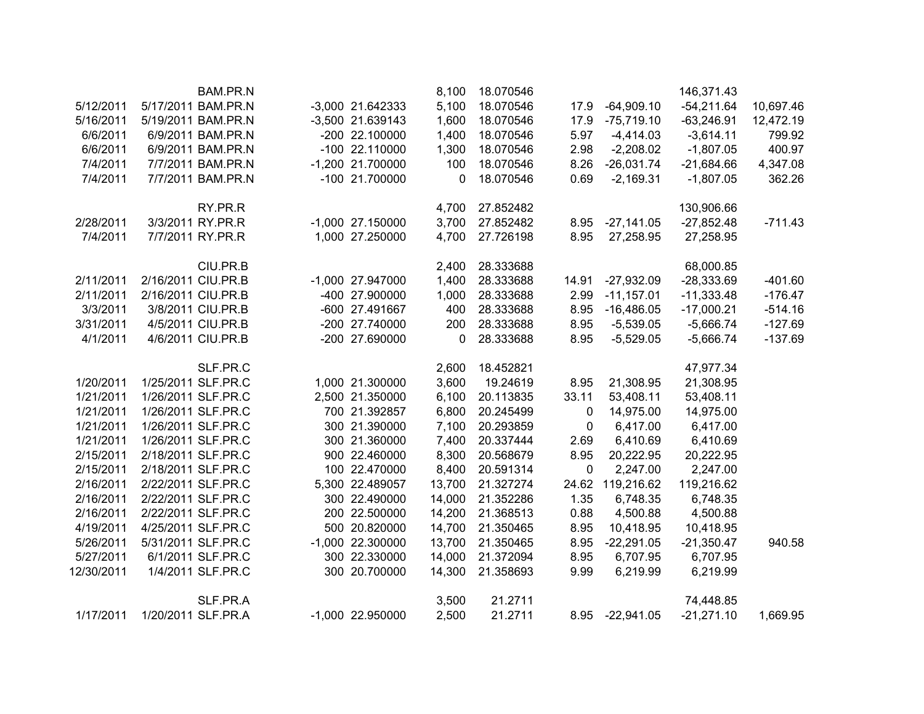|            | BAM.PR.N           |                    | 8,100  | 18.070546 |             |                  | 146,371.43   |           |
|------------|--------------------|--------------------|--------|-----------|-------------|------------------|--------------|-----------|
| 5/12/2011  | 5/17/2011 BAM.PR.N | $-3,000$ 21.642333 | 5,100  | 18.070546 | 17.9        | $-64,909.10$     | $-54,211.64$ | 10,697.46 |
| 5/16/2011  | 5/19/2011 BAM.PR.N | -3,500 21.639143   | 1,600  | 18.070546 | 17.9        | $-75,719.10$     | $-63,246.91$ | 12,472.19 |
| 6/6/2011   | 6/9/2011 BAM.PR.N  | -200 22.100000     | 1,400  | 18.070546 | 5.97        | $-4,414.03$      | $-3,614.11$  | 799.92    |
| 6/6/2011   | 6/9/2011 BAM.PR.N  | -100 22.110000     | 1,300  | 18.070546 | 2.98        | $-2,208.02$      | $-1,807.05$  | 400.97    |
| 7/4/2011   | 7/7/2011 BAM.PR.N  | -1,200 21.700000   | 100    | 18.070546 | 8.26        | $-26,031.74$     | $-21,684.66$ | 4,347.08  |
| 7/4/2011   | 7/7/2011 BAM.PR.N  | -100 21.700000     | 0      | 18.070546 | 0.69        | $-2,169.31$      | $-1,807.05$  | 362.26    |
|            | RY.PR.R            |                    | 4,700  | 27.852482 |             |                  | 130,906.66   |           |
| 2/28/2011  | 3/3/2011 RY.PR.R   | $-1,000$ 27.150000 | 3,700  | 27.852482 | 8.95        | $-27,141.05$     | $-27,852.48$ | $-711.43$ |
| 7/4/2011   | 7/7/2011 RY.PR.R   | 1,000 27.250000    | 4,700  | 27.726198 | 8.95        | 27,258.95        | 27,258.95    |           |
|            | CIU.PR.B           |                    | 2,400  | 28.333688 |             |                  | 68,000.85    |           |
| 2/11/2011  | 2/16/2011 CIU.PR.B | -1,000 27.947000   | 1,400  | 28.333688 | 14.91       | $-27,932.09$     | $-28,333.69$ | $-401.60$ |
| 2/11/2011  | 2/16/2011 CIU.PR.B | -400 27.900000     | 1,000  | 28.333688 | 2.99        | $-11,157.01$     | $-11,333.48$ | $-176.47$ |
| 3/3/2011   | 3/8/2011 CIU.PR.B  | -600 27.491667     | 400    | 28.333688 | 8.95        | $-16,486.05$     | $-17,000.21$ | $-514.16$ |
| 3/31/2011  | 4/5/2011 CIU.PR.B  | -200 27.740000     | 200    | 28.333688 | 8.95        | $-5,539.05$      | $-5,666.74$  | $-127.69$ |
| 4/1/2011   | 4/6/2011 CIU.PR.B  | -200 27.690000     | 0      | 28.333688 | 8.95        | $-5,529.05$      | $-5,666.74$  | $-137.69$ |
|            | SLF.PR.C           |                    | 2,600  | 18.452821 |             |                  | 47,977.34    |           |
| 1/20/2011  | 1/25/2011 SLF.PR.C | 1,000 21.300000    | 3,600  | 19.24619  | 8.95        | 21,308.95        | 21,308.95    |           |
| 1/21/2011  | 1/26/2011 SLF.PR.C | 2,500 21.350000    | 6,100  | 20.113835 | 33.11       | 53,408.11        | 53,408.11    |           |
| 1/21/2011  | 1/26/2011 SLF.PR.C | 700 21.392857      | 6,800  | 20.245499 | 0           | 14,975.00        | 14,975.00    |           |
| 1/21/2011  | 1/26/2011 SLF.PR.C | 300 21.390000      | 7,100  | 20.293859 | 0           | 6,417.00         | 6,417.00     |           |
| 1/21/2011  | 1/26/2011 SLF.PR.C | 300 21.360000      | 7,400  | 20.337444 | 2.69        | 6,410.69         | 6,410.69     |           |
| 2/15/2011  | 2/18/2011 SLF.PR.C | 900 22.460000      | 8,300  | 20.568679 | 8.95        | 20,222.95        | 20,222.95    |           |
| 2/15/2011  | 2/18/2011 SLF.PR.C | 100 22.470000      | 8,400  | 20.591314 | $\mathbf 0$ | 2,247.00         | 2,247.00     |           |
| 2/16/2011  | 2/22/2011 SLF.PR.C | 5,300 22.489057    | 13,700 | 21.327274 |             | 24.62 119,216.62 | 119,216.62   |           |
| 2/16/2011  | 2/22/2011 SLF.PR.C | 300 22.490000      | 14,000 | 21.352286 | 1.35        | 6,748.35         | 6,748.35     |           |
| 2/16/2011  | 2/22/2011 SLF.PR.C | 200 22.500000      | 14,200 | 21.368513 | 0.88        | 4,500.88         | 4,500.88     |           |
| 4/19/2011  | 4/25/2011 SLF.PR.C | 500 20.820000      | 14,700 | 21.350465 | 8.95        | 10,418.95        | 10,418.95    |           |
| 5/26/2011  | 5/31/2011 SLF.PR.C | $-1,000$ 22.300000 | 13,700 | 21.350465 | 8.95        | $-22,291.05$     | $-21,350.47$ | 940.58    |
| 5/27/2011  | 6/1/2011 SLF.PR.C  | 300 22.330000      | 14,000 | 21.372094 | 8.95        | 6,707.95         | 6,707.95     |           |
| 12/30/2011 | 1/4/2011 SLF.PR.C  | 300 20.700000      | 14,300 | 21.358693 | 9.99        | 6,219.99         | 6,219.99     |           |
|            | SLF.PR.A           |                    | 3,500  | 21.2711   |             |                  | 74,448.85    |           |
| 1/17/2011  | 1/20/2011 SLF.PR.A | -1,000 22.950000   | 2,500  | 21.2711   | 8.95        | $-22,941.05$     | $-21,271.10$ | 1,669.95  |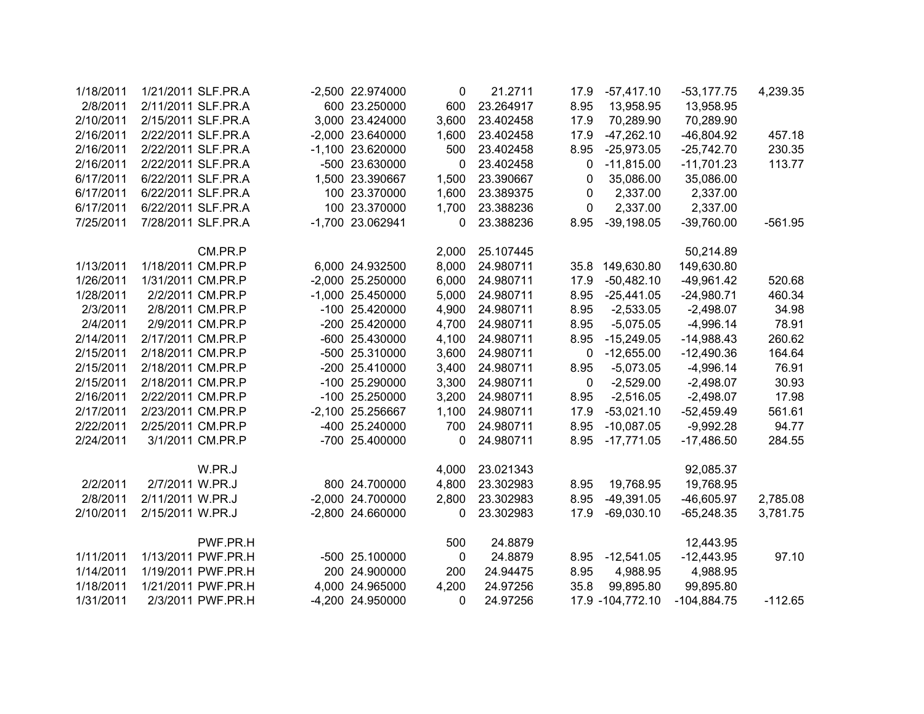| 1/18/2011 | 1/21/2011 SLF.PR.A |                   | -2,500 22.974000   | 0     | 21.2711   | 17.9 | $-57,417.10$        | $-53,177.75$  | 4,239.35  |
|-----------|--------------------|-------------------|--------------------|-------|-----------|------|---------------------|---------------|-----------|
| 2/8/2011  | 2/11/2011 SLF.PR.A |                   | 600 23.250000      | 600   | 23.264917 | 8.95 | 13,958.95           | 13,958.95     |           |
| 2/10/2011 | 2/15/2011 SLF.PR.A |                   | 3,000 23.424000    | 3,600 | 23.402458 | 17.9 | 70,289.90           | 70,289.90     |           |
| 2/16/2011 | 2/22/2011 SLF.PR.A |                   | -2,000 23.640000   | 1,600 | 23.402458 | 17.9 | $-47,262.10$        | $-46,804.92$  | 457.18    |
| 2/16/2011 | 2/22/2011 SLF.PR.A |                   | -1,100 23.620000   | 500   | 23.402458 | 8.95 | $-25,973.05$        | $-25,742.70$  | 230.35    |
| 2/16/2011 | 2/22/2011 SLF.PR.A |                   | -500 23.630000     | 0     | 23.402458 | 0    | $-11,815.00$        | $-11,701.23$  | 113.77    |
| 6/17/2011 | 6/22/2011 SLF.PR.A |                   | 1,500 23.390667    | 1,500 | 23.390667 | 0    | 35,086.00           | 35,086.00     |           |
| 6/17/2011 | 6/22/2011 SLF.PR.A |                   | 100 23.370000      | 1,600 | 23.389375 | 0    | 2,337.00            | 2,337.00      |           |
| 6/17/2011 | 6/22/2011 SLF.PR.A |                   | 100 23.370000      | 1,700 | 23.388236 | 0    | 2,337.00            | 2,337.00      |           |
| 7/25/2011 | 7/28/2011 SLF.PR.A |                   | -1,700 23.062941   | 0     | 23.388236 | 8.95 | $-39,198.05$        | $-39,760.00$  | $-561.95$ |
|           |                    | CM.PR.P           |                    | 2,000 | 25.107445 |      |                     | 50,214.89     |           |
| 1/13/2011 | 1/18/2011 CM.PR.P  |                   | 6,000 24.932500    | 8,000 | 24.980711 | 35.8 | 149,630.80          | 149,630.80    |           |
| 1/26/2011 | 1/31/2011 CM.PR.P  |                   | -2,000 25.250000   | 6,000 | 24.980711 | 17.9 | $-50,482.10$        | $-49,961.42$  | 520.68    |
| 1/28/2011 | 2/2/2011 CM.PR.P   |                   | $-1,000$ 25.450000 | 5,000 | 24.980711 | 8.95 | $-25,441.05$        | $-24,980.71$  | 460.34    |
| 2/3/2011  | 2/8/2011 CM.PR.P   |                   | -100 25.420000     | 4,900 | 24.980711 | 8.95 | $-2,533.05$         | $-2,498.07$   | 34.98     |
| 2/4/2011  | 2/9/2011 CM.PR.P   |                   | -200 25.420000     | 4,700 | 24.980711 | 8.95 | $-5,075.05$         | $-4,996.14$   | 78.91     |
| 2/14/2011 | 2/17/2011 CM.PR.P  |                   | -600 25.430000     | 4,100 | 24.980711 | 8.95 | $-15,249.05$        | $-14,988.43$  | 260.62    |
| 2/15/2011 | 2/18/2011 CM.PR.P  |                   | -500 25.310000     | 3,600 | 24.980711 | 0    | $-12,655.00$        | $-12,490.36$  | 164.64    |
| 2/15/2011 | 2/18/2011 CM.PR.P  |                   | -200 25.410000     | 3,400 | 24.980711 | 8.95 | $-5,073.05$         | $-4,996.14$   | 76.91     |
| 2/15/2011 | 2/18/2011 CM.PR.P  |                   | -100 25.290000     | 3,300 | 24.980711 | 0    | $-2,529.00$         | $-2,498.07$   | 30.93     |
| 2/16/2011 | 2/22/2011 CM.PR.P  |                   | -100 25.250000     | 3,200 | 24.980711 | 8.95 | $-2,516.05$         | $-2,498.07$   | 17.98     |
| 2/17/2011 | 2/23/2011 CM.PR.P  |                   | -2,100 25.256667   | 1,100 | 24.980711 | 17.9 | $-53,021.10$        | $-52,459.49$  | 561.61    |
| 2/22/2011 | 2/25/2011 CM.PR.P  |                   | -400 25.240000     | 700   | 24.980711 | 8.95 | $-10,087.05$        | $-9,992.28$   | 94.77     |
| 2/24/2011 | 3/1/2011 CM.PR.P   |                   | -700 25.400000     | 0     | 24.980711 | 8.95 | $-17,771.05$        | $-17,486.50$  | 284.55    |
|           |                    | W.PR.J            |                    | 4,000 | 23.021343 |      |                     | 92,085.37     |           |
| 2/2/2011  | 2/7/2011 W.PR.J    |                   | 800 24.700000      | 4,800 | 23.302983 | 8.95 | 19,768.95           | 19,768.95     |           |
| 2/8/2011  | 2/11/2011 W.PR.J   |                   | -2,000 24.700000   | 2,800 | 23.302983 | 8.95 | $-49,391.05$        | $-46,605.97$  | 2,785.08  |
| 2/10/2011 | 2/15/2011 W.PR.J   |                   | -2,800 24.660000   | 0     | 23.302983 | 17.9 | $-69,030.10$        | $-65,248.35$  | 3,781.75  |
|           |                    | PWF.PR.H          |                    | 500   | 24.8879   |      |                     | 12,443.95     |           |
| 1/11/2011 | 1/13/2011 PWF.PR.H |                   | -500 25.100000     | 0     | 24.8879   | 8.95 | $-12,541.05$        | $-12,443.95$  | 97.10     |
| 1/14/2011 | 1/19/2011 PWF.PR.H |                   | 200 24.900000      | 200   | 24.94475  | 8.95 | 4,988.95            | 4,988.95      |           |
| 1/18/2011 | 1/21/2011 PWF.PR.H |                   | 4,000 24.965000    | 4,200 | 24.97256  | 35.8 | 99,895.80           | 99,895.80     |           |
| 1/31/2011 |                    | 2/3/2011 PWF.PR.H | -4,200 24.950000   | 0     | 24.97256  |      | 17.9 - 104, 772. 10 | $-104,884.75$ | $-112.65$ |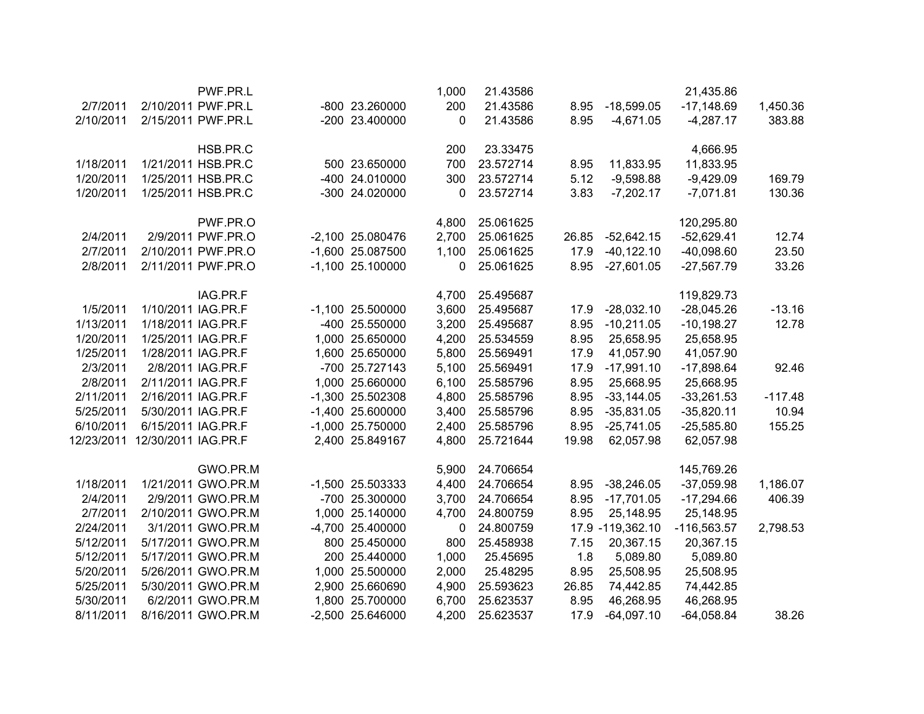|            |                     | PWF.PR.L           |                    | 1,000 | 21.43586  |       |                  | 21,435.86     |           |
|------------|---------------------|--------------------|--------------------|-------|-----------|-------|------------------|---------------|-----------|
| 2/7/2011   |                     | 2/10/2011 PWF.PR.L | -800 23.260000     | 200   | 21.43586  | 8.95  | $-18,599.05$     | $-17,148.69$  | 1,450.36  |
| 2/10/2011  |                     | 2/15/2011 PWF.PR.L | -200 23.400000     | 0     | 21.43586  | 8.95  | $-4,671.05$      | $-4,287.17$   | 383.88    |
|            |                     | HSB.PR.C           |                    | 200   | 23.33475  |       |                  | 4,666.95      |           |
| 1/18/2011  |                     | 1/21/2011 HSB.PR.C | 500 23.650000      | 700   | 23.572714 | 8.95  | 11,833.95        | 11,833.95     |           |
| 1/20/2011  |                     | 1/25/2011 HSB.PR.C | -400 24.010000     | 300   | 23.572714 | 5.12  | $-9,598.88$      | $-9,429.09$   | 169.79    |
| 1/20/2011  |                     | 1/25/2011 HSB.PR.C | -300 24.020000     | 0     | 23.572714 | 3.83  | $-7,202.17$      | $-7,071.81$   | 130.36    |
|            |                     | PWF.PR.O           |                    | 4,800 | 25.061625 |       |                  | 120,295.80    |           |
| 2/4/2011   |                     | 2/9/2011 PWF.PR.O  | -2,100 25.080476   | 2,700 | 25.061625 | 26.85 | $-52,642.15$     | $-52,629.41$  | 12.74     |
| 2/7/2011   |                     | 2/10/2011 PWF.PR.O | -1,600 25.087500   | 1,100 | 25.061625 | 17.9  | $-40, 122.10$    | $-40,098.60$  | 23.50     |
| 2/8/2011   |                     | 2/11/2011 PWF.PR.O | $-1,100$ 25.100000 | 0     | 25.061625 | 8.95  | $-27,601.05$     | $-27,567.79$  | 33.26     |
|            |                     | IAG.PR.F           |                    | 4,700 | 25.495687 |       |                  | 119,829.73    |           |
| 1/5/2011   | 1/10/2011 IAG.PR.F  |                    | $-1,100$ 25.500000 | 3,600 | 25.495687 | 17.9  | $-28,032.10$     | $-28,045.26$  | $-13.16$  |
| 1/13/2011  | 1/18/2011 IAG.PR.F  |                    | -400 25.550000     | 3,200 | 25.495687 | 8.95  | $-10,211.05$     | $-10,198.27$  | 12.78     |
| 1/20/2011  | 1/25/2011 IAG.PR.F  |                    | 1,000 25.650000    | 4,200 | 25.534559 | 8.95  | 25,658.95        | 25,658.95     |           |
| 1/25/2011  | 1/28/2011 IAG.PR.F  |                    | 1,600 25.650000    | 5,800 | 25.569491 | 17.9  | 41,057.90        | 41,057.90     |           |
| 2/3/2011   |                     | 2/8/2011 IAG.PR.F  | -700 25.727143     | 5,100 | 25.569491 | 17.9  | $-17,991.10$     | $-17,898.64$  | 92.46     |
| 2/8/2011   | 2/11/2011 IAG.PR.F  |                    | 1,000 25.660000    | 6,100 | 25.585796 | 8.95  | 25,668.95        | 25,668.95     |           |
| 2/11/2011  | 2/16/2011 IAG.PR.F  |                    | -1,300 25.502308   | 4,800 | 25.585796 | 8.95  | $-33,144.05$     | $-33,261.53$  | $-117.48$ |
| 5/25/2011  | 5/30/2011 IAG.PR.F  |                    | $-1,400$ 25.600000 | 3,400 | 25.585796 | 8.95  | $-35,831.05$     | $-35,820.11$  | 10.94     |
| 6/10/2011  | 6/15/2011 IAG.PR.F  |                    | $-1,000$ 25.750000 | 2,400 | 25.585796 | 8.95  | $-25,741.05$     | $-25,585.80$  | 155.25    |
| 12/23/2011 | 12/30/2011 IAG.PR.F |                    | 2,400 25.849167    | 4,800 | 25.721644 | 19.98 | 62,057.98        | 62,057.98     |           |
|            |                     | GWO.PR.M           |                    | 5,900 | 24.706654 |       |                  | 145,769.26    |           |
| 1/18/2011  |                     | 1/21/2011 GWO.PR.M | -1,500 25.503333   | 4,400 | 24.706654 | 8.95  | $-38,246.05$     | $-37,059.98$  | 1,186.07  |
| 2/4/2011   |                     | 2/9/2011 GWO.PR.M  | -700 25.300000     | 3,700 | 24.706654 | 8.95  | $-17,701.05$     | $-17,294.66$  | 406.39    |
| 2/7/2011   |                     | 2/10/2011 GWO.PR.M | 1,000 25.140000    | 4,700 | 24.800759 | 8.95  | 25,148.95        | 25,148.95     |           |
| 2/24/2011  |                     | 3/1/2011 GWO.PR.M  | -4,700 25.400000   | 0     | 24.800759 |       | 17.9 -119,362.10 | $-116,563.57$ | 2,798.53  |
| 5/12/2011  |                     | 5/17/2011 GWO.PR.M | 800 25.450000      | 800   | 25.458938 | 7.15  | 20,367.15        | 20,367.15     |           |
| 5/12/2011  |                     | 5/17/2011 GWO.PR.M | 200 25.440000      | 1,000 | 25.45695  | 1.8   | 5,089.80         | 5,089.80      |           |
| 5/20/2011  |                     | 5/26/2011 GWO.PR.M | 1,000 25.500000    | 2,000 | 25.48295  | 8.95  | 25,508.95        | 25,508.95     |           |
| 5/25/2011  |                     | 5/30/2011 GWO.PR.M | 2,900 25.660690    | 4,900 | 25.593623 | 26.85 | 74,442.85        | 74,442.85     |           |
| 5/30/2011  |                     | 6/2/2011 GWO.PR.M  | 1,800 25.700000    | 6,700 | 25.623537 | 8.95  | 46,268.95        | 46,268.95     |           |
| 8/11/2011  |                     | 8/16/2011 GWO.PR.M | -2,500 25.646000   | 4,200 | 25.623537 | 17.9  | $-64,097.10$     | $-64,058.84$  | 38.26     |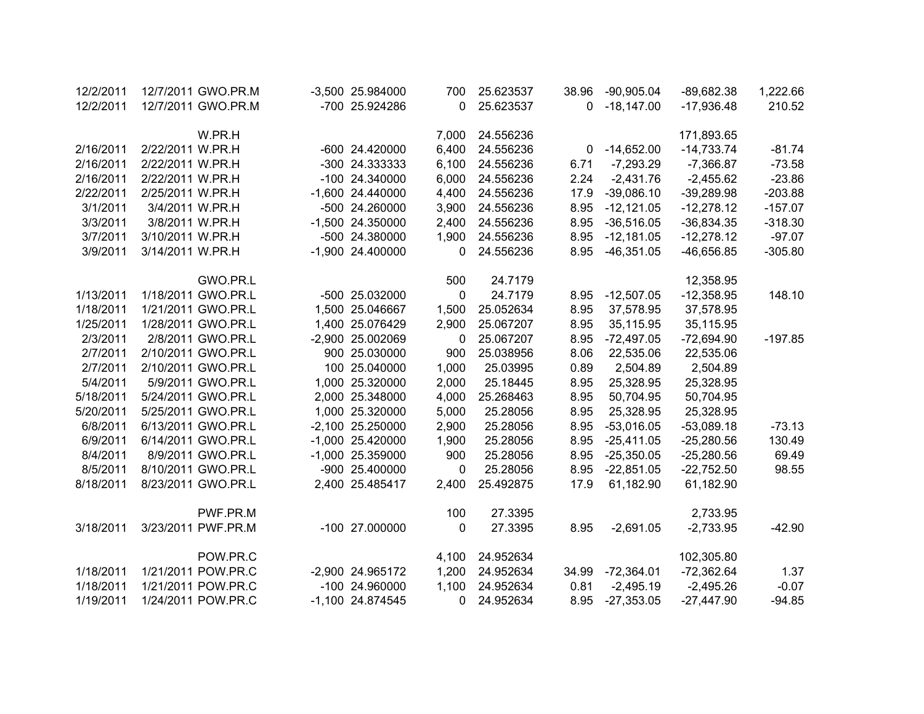| 12/2/2011 | 12/7/2011 GWO.PR.M | -3,500 25.984000 | 700          | 25.623537 | 38.96 | $-90,905.04$ | -89,682.38   | 1,222.66  |
|-----------|--------------------|------------------|--------------|-----------|-------|--------------|--------------|-----------|
| 12/2/2011 | 12/7/2011 GWO.PR.M | -700 25.924286   | 0            | 25.623537 | 0     | $-18,147.00$ | $-17,936.48$ | 210.52    |
|           | W.PR.H             |                  | 7,000        | 24.556236 |       |              | 171,893.65   |           |
| 2/16/2011 | 2/22/2011 W.PR.H   | -600 24.420000   | 6,400        | 24.556236 | 0     | $-14,652.00$ | $-14,733.74$ | $-81.74$  |
| 2/16/2011 | 2/22/2011 W.PR.H   | -300 24.333333   | 6,100        | 24.556236 | 6.71  | $-7,293.29$  | $-7,366.87$  | $-73.58$  |
| 2/16/2011 | 2/22/2011 W.PR.H   | -100 24.340000   | 6,000        | 24.556236 | 2.24  | $-2,431.76$  | $-2,455.62$  | $-23.86$  |
| 2/22/2011 | 2/25/2011 W.PR.H   | -1,600 24.440000 | 4,400        | 24.556236 | 17.9  | $-39,086.10$ | $-39,289.98$ | $-203.88$ |
| 3/1/2011  | 3/4/2011 W.PR.H    | -500 24.260000   | 3,900        | 24.556236 | 8.95  | $-12,121.05$ | $-12,278.12$ | $-157.07$ |
| 3/3/2011  | 3/8/2011 W.PR.H    | -1,500 24.350000 | 2,400        | 24.556236 | 8.95  | $-36,516.05$ | $-36,834.35$ | $-318.30$ |
| 3/7/2011  | 3/10/2011 W.PR.H   | -500 24.380000   | 1,900        | 24.556236 | 8.95  | $-12,181.05$ | $-12,278.12$ | $-97.07$  |
| 3/9/2011  | 3/14/2011 W.PR.H   | -1,900 24.400000 | 0            | 24.556236 | 8.95  | $-46,351.05$ | $-46,656.85$ | $-305.80$ |
|           | GWO.PR.L           |                  | 500          | 24.7179   |       |              | 12,358.95    |           |
| 1/13/2011 | 1/18/2011 GWO.PR.L | -500 25.032000   | $\mathbf 0$  | 24.7179   | 8.95  | $-12,507.05$ | $-12,358.95$ | 148.10    |
| 1/18/2011 | 1/21/2011 GWO.PR.L | 1,500 25.046667  | 1,500        | 25.052634 | 8.95  | 37,578.95    | 37,578.95    |           |
| 1/25/2011 | 1/28/2011 GWO.PR.L | 1,400 25.076429  | 2,900        | 25.067207 | 8.95  | 35,115.95    | 35,115.95    |           |
| 2/3/2011  | 2/8/2011 GWO.PR.L  | -2,900 25.002069 | 0            | 25.067207 | 8.95  | $-72,497.05$ | $-72,694.90$ | $-197.85$ |
| 2/7/2011  | 2/10/2011 GWO.PR.L | 900 25.030000    | 900          | 25.038956 | 8.06  | 22,535.06    | 22,535.06    |           |
| 2/7/2011  | 2/10/2011 GWO.PR.L | 100 25.040000    | 1,000        | 25.03995  | 0.89  | 2,504.89     | 2,504.89     |           |
| 5/4/2011  | 5/9/2011 GWO.PR.L  | 1,000 25.320000  | 2,000        | 25.18445  | 8.95  | 25,328.95    | 25,328.95    |           |
| 5/18/2011 | 5/24/2011 GWO.PR.L | 2,000 25.348000  | 4,000        | 25.268463 | 8.95  | 50,704.95    | 50,704.95    |           |
| 5/20/2011 | 5/25/2011 GWO.PR.L | 1,000 25.320000  | 5,000        | 25.28056  | 8.95  | 25,328.95    | 25,328.95    |           |
| 6/8/2011  | 6/13/2011 GWO.PR.L | -2,100 25.250000 | 2,900        | 25.28056  | 8.95  | $-53,016.05$ | $-53,089.18$ | $-73.13$  |
| 6/9/2011  | 6/14/2011 GWO.PR.L | -1,000 25.420000 | 1,900        | 25.28056  | 8.95  | $-25,411.05$ | $-25,280.56$ | 130.49    |
| 8/4/2011  | 8/9/2011 GWO.PR.L  | -1,000 25.359000 | 900          | 25.28056  | 8.95  | $-25,350.05$ | $-25,280.56$ | 69.49     |
| 8/5/2011  | 8/10/2011 GWO.PR.L | -900 25.400000   | $\mathbf{0}$ | 25.28056  | 8.95  | $-22,851.05$ | $-22,752.50$ | 98.55     |
| 8/18/2011 | 8/23/2011 GWO.PR.L | 2,400 25.485417  | 2,400        | 25.492875 | 17.9  | 61,182.90    | 61,182.90    |           |
|           | PWF.PR.M           |                  | 100          | 27.3395   |       |              | 2,733.95     |           |
| 3/18/2011 | 3/23/2011 PWF.PR.M | -100 27.000000   | 0            | 27.3395   | 8.95  | $-2,691.05$  | $-2,733.95$  | $-42.90$  |
|           | POW.PR.C           |                  | 4,100        | 24.952634 |       |              | 102,305.80   |           |
| 1/18/2011 | 1/21/2011 POW.PR.C | -2,900 24.965172 | 1,200        | 24.952634 | 34.99 | $-72,364.01$ | $-72,362.64$ | 1.37      |
| 1/18/2011 | 1/21/2011 POW.PR.C | -100 24.960000   | 1,100        | 24.952634 | 0.81  | $-2,495.19$  | $-2,495.26$  | $-0.07$   |
| 1/19/2011 | 1/24/2011 POW.PR.C | -1,100 24.874545 | 0            | 24.952634 | 8.95  | $-27,353.05$ | $-27,447.90$ | $-94.85$  |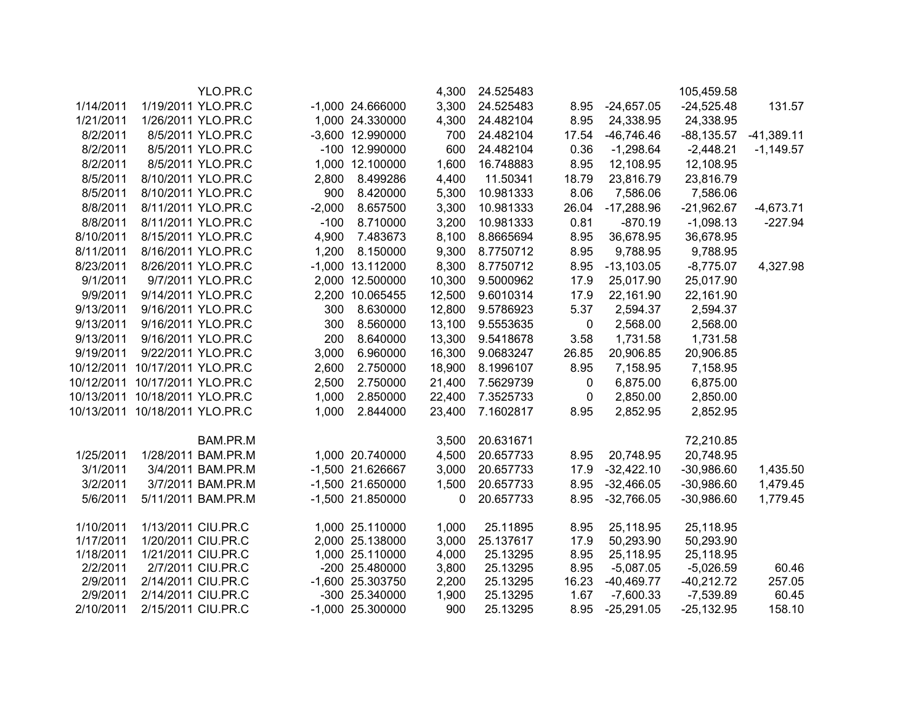| YLO.PR.C |                                                                                                                                                                                                                                                                                                                                                                                                                                                                                                                                                                                                                                                                                                                                                                                                         |           | 4,300                                                                                                                                                                                                                                                                                                                                                                    | 24.525483                                                                              |                                                                                                                           |                                                                       | 105,459.58                                                                                                                     |                                                                                                                                             |
|----------|---------------------------------------------------------------------------------------------------------------------------------------------------------------------------------------------------------------------------------------------------------------------------------------------------------------------------------------------------------------------------------------------------------------------------------------------------------------------------------------------------------------------------------------------------------------------------------------------------------------------------------------------------------------------------------------------------------------------------------------------------------------------------------------------------------|-----------|--------------------------------------------------------------------------------------------------------------------------------------------------------------------------------------------------------------------------------------------------------------------------------------------------------------------------------------------------------------------------|----------------------------------------------------------------------------------------|---------------------------------------------------------------------------------------------------------------------------|-----------------------------------------------------------------------|--------------------------------------------------------------------------------------------------------------------------------|---------------------------------------------------------------------------------------------------------------------------------------------|
|          |                                                                                                                                                                                                                                                                                                                                                                                                                                                                                                                                                                                                                                                                                                                                                                                                         |           | 3,300                                                                                                                                                                                                                                                                                                                                                                    | 24.525483                                                                              | 8.95                                                                                                                      | $-24,657.05$                                                          | $-24,525.48$                                                                                                                   | 131.57                                                                                                                                      |
|          |                                                                                                                                                                                                                                                                                                                                                                                                                                                                                                                                                                                                                                                                                                                                                                                                         |           | 4,300                                                                                                                                                                                                                                                                                                                                                                    | 24.482104                                                                              | 8.95                                                                                                                      | 24,338.95                                                             | 24,338.95                                                                                                                      |                                                                                                                                             |
|          |                                                                                                                                                                                                                                                                                                                                                                                                                                                                                                                                                                                                                                                                                                                                                                                                         |           | 700                                                                                                                                                                                                                                                                                                                                                                      | 24.482104                                                                              | 17.54                                                                                                                     | $-46,746.46$                                                          | $-88, 135.57$                                                                                                                  | $-41,389.11$                                                                                                                                |
|          |                                                                                                                                                                                                                                                                                                                                                                                                                                                                                                                                                                                                                                                                                                                                                                                                         |           | 600                                                                                                                                                                                                                                                                                                                                                                      | 24.482104                                                                              | 0.36                                                                                                                      | $-1,298.64$                                                           | $-2,448.21$                                                                                                                    | $-1,149.57$                                                                                                                                 |
|          |                                                                                                                                                                                                                                                                                                                                                                                                                                                                                                                                                                                                                                                                                                                                                                                                         |           | 1,600                                                                                                                                                                                                                                                                                                                                                                    | 16.748883                                                                              | 8.95                                                                                                                      | 12,108.95                                                             | 12,108.95                                                                                                                      |                                                                                                                                             |
|          | 2,800                                                                                                                                                                                                                                                                                                                                                                                                                                                                                                                                                                                                                                                                                                                                                                                                   | 8.499286  | 4,400                                                                                                                                                                                                                                                                                                                                                                    | 11.50341                                                                               | 18.79                                                                                                                     | 23,816.79                                                             | 23,816.79                                                                                                                      |                                                                                                                                             |
|          | 900                                                                                                                                                                                                                                                                                                                                                                                                                                                                                                                                                                                                                                                                                                                                                                                                     | 8.420000  | 5,300                                                                                                                                                                                                                                                                                                                                                                    | 10.981333                                                                              | 8.06                                                                                                                      | 7,586.06                                                              | 7,586.06                                                                                                                       |                                                                                                                                             |
|          | $-2,000$                                                                                                                                                                                                                                                                                                                                                                                                                                                                                                                                                                                                                                                                                                                                                                                                | 8.657500  | 3,300                                                                                                                                                                                                                                                                                                                                                                    | 10.981333                                                                              | 26.04                                                                                                                     | $-17,288.96$                                                          | $-21,962.67$                                                                                                                   | $-4,673.71$                                                                                                                                 |
|          | $-100$                                                                                                                                                                                                                                                                                                                                                                                                                                                                                                                                                                                                                                                                                                                                                                                                  | 8.710000  | 3,200                                                                                                                                                                                                                                                                                                                                                                    | 10.981333                                                                              | 0.81                                                                                                                      | $-870.19$                                                             | $-1,098.13$                                                                                                                    | $-227.94$                                                                                                                                   |
|          | 4,900                                                                                                                                                                                                                                                                                                                                                                                                                                                                                                                                                                                                                                                                                                                                                                                                   | 7.483673  | 8,100                                                                                                                                                                                                                                                                                                                                                                    | 8.8665694                                                                              | 8.95                                                                                                                      | 36,678.95                                                             | 36,678.95                                                                                                                      |                                                                                                                                             |
|          | 1,200                                                                                                                                                                                                                                                                                                                                                                                                                                                                                                                                                                                                                                                                                                                                                                                                   | 8.150000  | 9,300                                                                                                                                                                                                                                                                                                                                                                    | 8.7750712                                                                              | 8.95                                                                                                                      | 9,788.95                                                              | 9,788.95                                                                                                                       |                                                                                                                                             |
|          |                                                                                                                                                                                                                                                                                                                                                                                                                                                                                                                                                                                                                                                                                                                                                                                                         |           | 8,300                                                                                                                                                                                                                                                                                                                                                                    | 8.7750712                                                                              | 8.95                                                                                                                      | $-13,103.05$                                                          | $-8,775.07$                                                                                                                    | 4,327.98                                                                                                                                    |
|          |                                                                                                                                                                                                                                                                                                                                                                                                                                                                                                                                                                                                                                                                                                                                                                                                         |           | 10,300                                                                                                                                                                                                                                                                                                                                                                   | 9.5000962                                                                              | 17.9                                                                                                                      | 25,017.90                                                             | 25,017.90                                                                                                                      |                                                                                                                                             |
|          |                                                                                                                                                                                                                                                                                                                                                                                                                                                                                                                                                                                                                                                                                                                                                                                                         | 10.065455 | 12,500                                                                                                                                                                                                                                                                                                                                                                   | 9.6010314                                                                              | 17.9                                                                                                                      | 22,161.90                                                             | 22,161.90                                                                                                                      |                                                                                                                                             |
|          | 300                                                                                                                                                                                                                                                                                                                                                                                                                                                                                                                                                                                                                                                                                                                                                                                                     | 8.630000  | 12,800                                                                                                                                                                                                                                                                                                                                                                   | 9.5786923                                                                              | 5.37                                                                                                                      | 2,594.37                                                              | 2,594.37                                                                                                                       |                                                                                                                                             |
|          | 300                                                                                                                                                                                                                                                                                                                                                                                                                                                                                                                                                                                                                                                                                                                                                                                                     | 8.560000  | 13,100                                                                                                                                                                                                                                                                                                                                                                   | 9.5553635                                                                              | $\pmb{0}$                                                                                                                 | 2,568.00                                                              | 2,568.00                                                                                                                       |                                                                                                                                             |
|          | 200                                                                                                                                                                                                                                                                                                                                                                                                                                                                                                                                                                                                                                                                                                                                                                                                     | 8.640000  | 13,300                                                                                                                                                                                                                                                                                                                                                                   | 9.5418678                                                                              | 3.58                                                                                                                      | 1,731.58                                                              | 1,731.58                                                                                                                       |                                                                                                                                             |
|          | 3,000                                                                                                                                                                                                                                                                                                                                                                                                                                                                                                                                                                                                                                                                                                                                                                                                   | 6.960000  | 16,300                                                                                                                                                                                                                                                                                                                                                                   | 9.0683247                                                                              | 26.85                                                                                                                     | 20,906.85                                                             | 20,906.85                                                                                                                      |                                                                                                                                             |
|          | 2,600                                                                                                                                                                                                                                                                                                                                                                                                                                                                                                                                                                                                                                                                                                                                                                                                   | 2.750000  | 18,900                                                                                                                                                                                                                                                                                                                                                                   | 8.1996107                                                                              | 8.95                                                                                                                      | 7,158.95                                                              | 7,158.95                                                                                                                       |                                                                                                                                             |
|          | 2,500                                                                                                                                                                                                                                                                                                                                                                                                                                                                                                                                                                                                                                                                                                                                                                                                   | 2.750000  | 21,400                                                                                                                                                                                                                                                                                                                                                                   | 7.5629739                                                                              | $\pmb{0}$                                                                                                                 | 6,875.00                                                              | 6,875.00                                                                                                                       |                                                                                                                                             |
|          | 1,000                                                                                                                                                                                                                                                                                                                                                                                                                                                                                                                                                                                                                                                                                                                                                                                                   | 2.850000  | 22,400                                                                                                                                                                                                                                                                                                                                                                   | 7.3525733                                                                              | 0                                                                                                                         | 2,850.00                                                              | 2,850.00                                                                                                                       |                                                                                                                                             |
|          | 1,000                                                                                                                                                                                                                                                                                                                                                                                                                                                                                                                                                                                                                                                                                                                                                                                                   | 2.844000  | 23,400                                                                                                                                                                                                                                                                                                                                                                   | 7.1602817                                                                              | 8.95                                                                                                                      | 2,852.95                                                              | 2,852.95                                                                                                                       |                                                                                                                                             |
|          |                                                                                                                                                                                                                                                                                                                                                                                                                                                                                                                                                                                                                                                                                                                                                                                                         |           |                                                                                                                                                                                                                                                                                                                                                                          |                                                                                        |                                                                                                                           |                                                                       |                                                                                                                                |                                                                                                                                             |
|          |                                                                                                                                                                                                                                                                                                                                                                                                                                                                                                                                                                                                                                                                                                                                                                                                         |           |                                                                                                                                                                                                                                                                                                                                                                          |                                                                                        |                                                                                                                           |                                                                       |                                                                                                                                |                                                                                                                                             |
|          |                                                                                                                                                                                                                                                                                                                                                                                                                                                                                                                                                                                                                                                                                                                                                                                                         |           |                                                                                                                                                                                                                                                                                                                                                                          |                                                                                        |                                                                                                                           |                                                                       |                                                                                                                                | 1,435.50                                                                                                                                    |
|          |                                                                                                                                                                                                                                                                                                                                                                                                                                                                                                                                                                                                                                                                                                                                                                                                         |           |                                                                                                                                                                                                                                                                                                                                                                          |                                                                                        |                                                                                                                           |                                                                       |                                                                                                                                | 1,479.45                                                                                                                                    |
|          |                                                                                                                                                                                                                                                                                                                                                                                                                                                                                                                                                                                                                                                                                                                                                                                                         |           | 0                                                                                                                                                                                                                                                                                                                                                                        | 20.657733                                                                              | 8.95                                                                                                                      | $-32,766.05$                                                          | $-30,986.60$                                                                                                                   | 1,779.45                                                                                                                                    |
|          |                                                                                                                                                                                                                                                                                                                                                                                                                                                                                                                                                                                                                                                                                                                                                                                                         |           |                                                                                                                                                                                                                                                                                                                                                                          |                                                                                        |                                                                                                                           |                                                                       |                                                                                                                                |                                                                                                                                             |
|          |                                                                                                                                                                                                                                                                                                                                                                                                                                                                                                                                                                                                                                                                                                                                                                                                         |           |                                                                                                                                                                                                                                                                                                                                                                          |                                                                                        |                                                                                                                           |                                                                       |                                                                                                                                |                                                                                                                                             |
|          |                                                                                                                                                                                                                                                                                                                                                                                                                                                                                                                                                                                                                                                                                                                                                                                                         |           |                                                                                                                                                                                                                                                                                                                                                                          |                                                                                        |                                                                                                                           |                                                                       |                                                                                                                                |                                                                                                                                             |
|          |                                                                                                                                                                                                                                                                                                                                                                                                                                                                                                                                                                                                                                                                                                                                                                                                         |           |                                                                                                                                                                                                                                                                                                                                                                          |                                                                                        |                                                                                                                           |                                                                       |                                                                                                                                | 60.46                                                                                                                                       |
|          |                                                                                                                                                                                                                                                                                                                                                                                                                                                                                                                                                                                                                                                                                                                                                                                                         |           |                                                                                                                                                                                                                                                                                                                                                                          |                                                                                        |                                                                                                                           |                                                                       |                                                                                                                                | 257.05                                                                                                                                      |
|          |                                                                                                                                                                                                                                                                                                                                                                                                                                                                                                                                                                                                                                                                                                                                                                                                         |           |                                                                                                                                                                                                                                                                                                                                                                          |                                                                                        |                                                                                                                           |                                                                       |                                                                                                                                | 60.45                                                                                                                                       |
|          |                                                                                                                                                                                                                                                                                                                                                                                                                                                                                                                                                                                                                                                                                                                                                                                                         |           | 900                                                                                                                                                                                                                                                                                                                                                                      | 25.13295                                                                               | 8.95                                                                                                                      | $-25,291.05$                                                          | $-25,132.95$                                                                                                                   | 158.10                                                                                                                                      |
|          | 1/19/2011 YLO.PR.C<br>1/26/2011 YLO.PR.C<br>8/5/2011 YLO.PR.C<br>8/5/2011 YLO.PR.C<br>8/5/2011 YLO.PR.C<br>8/10/2011 YLO.PR.C<br>8/10/2011 YLO.PR.C<br>8/11/2011 YLO.PR.C<br>8/11/2011 YLO.PR.C<br>8/15/2011 YLO.PR.C<br>8/16/2011 YLO.PR.C<br>8/26/2011 YLO.PR.C<br>9/7/2011 YLO.PR.C<br>9/14/2011 YLO.PR.C<br>9/16/2011 YLO.PR.C<br>9/16/2011 YLO.PR.C<br>9/16/2011 YLO.PR.C<br>9/22/2011 YLO.PR.C<br>10/12/2011 10/17/2011 YLO.PR.C<br>10/12/2011 10/17/2011 YLO.PR.C<br>10/13/2011 10/18/2011 YLO.PR.C<br>10/13/2011 10/18/2011 YLO.PR.C<br>BAM.PR.M<br>1/28/2011 BAM.PR.M<br>3/4/2011 BAM.PR.M<br>3/7/2011 BAM.PR.M<br>5/11/2011 BAM.PR.M<br>1/13/2011 CIU.PR.C<br>1/20/2011 CIU.PR.C<br>1/21/2011 CIU.PR.C<br>2/7/2011 CIU.PR.C<br>2/14/2011 CIU.PR.C<br>2/14/2011 CIU.PR.C<br>2/15/2011 CIU.PR.C |           | $-1,000$ 24.666000<br>1,000 24.330000<br>-3,600 12.990000<br>-100 12.990000<br>1,000 12.100000<br>$-1,000$ 13.112000<br>2,000 12.500000<br>2,200<br>1,000 20.740000<br>-1,500 21.626667<br>$-1,500$ 21.650000<br>-1,500 21.850000<br>1,000 25.110000<br>2,000 25.138000<br>1,000 25.110000<br>-200 25.480000<br>-1,600 25.303750<br>-300 25.340000<br>$-1,000$ 25.300000 | 3,500<br>4,500<br>3,000<br>1,500<br>1,000<br>3,000<br>4,000<br>3,800<br>2,200<br>1,900 | 20.631671<br>20.657733<br>20.657733<br>20.657733<br>25.11895<br>25.137617<br>25.13295<br>25.13295<br>25.13295<br>25.13295 | 8.95<br>17.9<br>8.95<br>8.95<br>17.9<br>8.95<br>8.95<br>16.23<br>1.67 | 20,748.95<br>$-32,422.10$<br>$-32,466.05$<br>25,118.95<br>50,293.90<br>25,118.95<br>$-5,087.05$<br>$-40,469.77$<br>$-7,600.33$ | 72,210.85<br>20,748.95<br>$-30,986.60$<br>$-30,986.60$<br>25,118.95<br>50,293.90<br>25,118.95<br>$-5,026.59$<br>$-40,212.72$<br>$-7,539.89$ |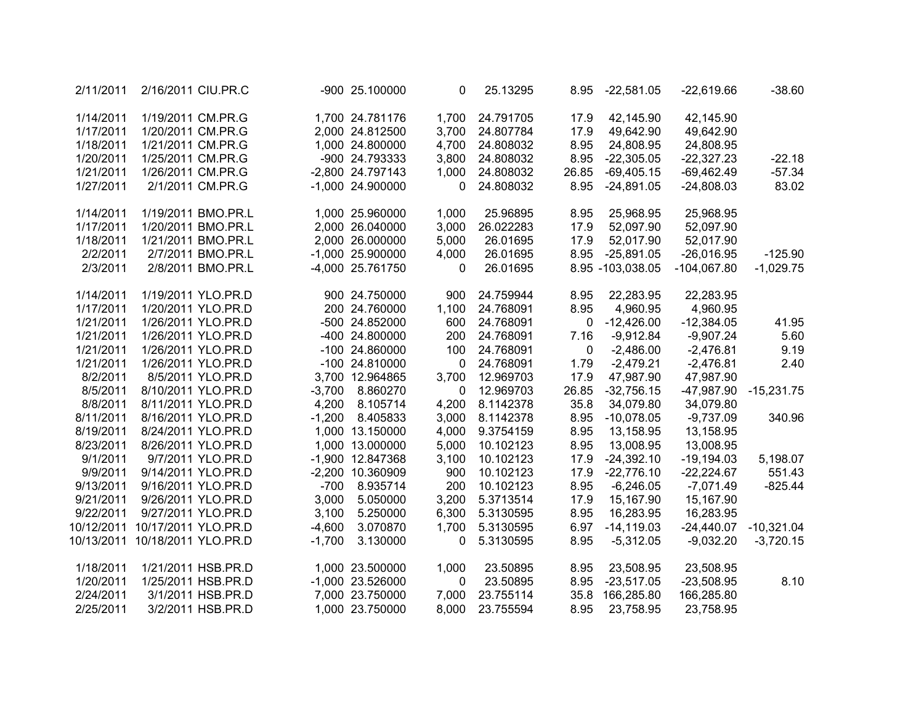| $-38.60$     | $-22,619.66$  | $-22,581.05$     | 8.95         | 25.13295  | 0            | -900 25.100000     |          |                    | 2/16/2011 CIU.PR.C  | 2/11/2011  |
|--------------|---------------|------------------|--------------|-----------|--------------|--------------------|----------|--------------------|---------------------|------------|
|              | 42,145.90     | 42,145.90        | 17.9         | 24.791705 | 1,700        | 1,700 24.781176    |          |                    | 1/19/2011 CM.PR.G   | 1/14/2011  |
|              | 49,642.90     | 49,642.90        | 17.9         | 24.807784 | 3,700        | 2,000 24.812500    |          |                    | 1/20/2011 CM.PR.G   | 1/17/2011  |
|              | 24,808.95     | 24,808.95        | 8.95         | 24.808032 | 4,700        | 1,000 24.800000    |          |                    | 1/21/2011 CM.PR.G   | 1/18/2011  |
| $-22.18$     | $-22,327.23$  | $-22,305.05$     | 8.95         | 24.808032 | 3,800        | -900 24.793333     |          |                    | 1/25/2011 CM.PR.G   | 1/20/2011  |
| $-57.34$     | $-69,462.49$  | $-69,405.15$     | 26.85        | 24.808032 | 1,000        | -2,800 24.797143   |          |                    | 1/26/2011 CM.PR.G   | 1/21/2011  |
| 83.02        | $-24,808.03$  | $-24,891.05$     | 8.95         | 24.808032 | 0            | -1,000 24.900000   |          | 2/1/2011 CM.PR.G   |                     | 1/27/2011  |
|              |               |                  |              |           |              |                    |          |                    |                     |            |
|              | 25,968.95     | 25,968.95        | 8.95         | 25.96895  | 1,000        | 1,000 25.960000    |          | 1/19/2011 BMO.PR.L |                     | 1/14/2011  |
|              | 52,097.90     | 52,097.90        | 17.9         | 26.022283 | 3,000        | 2,000 26.040000    |          | 1/20/2011 BMO.PR.L |                     | 1/17/2011  |
|              | 52,017.90     | 52,017.90        | 17.9         | 26.01695  | 5,000        | 2,000 26.000000    |          | 1/21/2011 BMO.PR.L |                     | 1/18/2011  |
| $-125.90$    | $-26,016.95$  | $-25,891.05$     | 8.95         | 26.01695  | 4,000        | $-1,000$ 25.900000 |          | 2/7/2011 BMO.PR.L  |                     | 2/2/2011   |
| $-1,029.75$  | $-104,067.80$ | 8.95 -103,038.05 |              | 26.01695  | 0            | -4,000 25.761750   |          | 2/8/2011 BMO.PR.L  |                     | 2/3/2011   |
|              |               |                  |              |           |              |                    |          |                    |                     |            |
|              | 22,283.95     | 22,283.95        | 8.95         | 24.759944 | 900          | 900 24.750000      |          | 1/19/2011 YLO.PR.D |                     | 1/14/2011  |
|              | 4,960.95      | 4,960.95         | 8.95         | 24.768091 | 1,100        | 200 24.760000      |          | 1/20/2011 YLO.PR.D |                     | 1/17/2011  |
| 41.95        | $-12,384.05$  | $-12,426.00$     | 0            | 24.768091 | 600          | -500 24.852000     |          | 1/26/2011 YLO.PR.D |                     | 1/21/2011  |
| 5.60         | $-9,907.24$   | $-9,912.84$      | 7.16         | 24.768091 | 200          | -400 24.800000     |          | 1/26/2011 YLO.PR.D |                     | 1/21/2011  |
| 9.19         | $-2,476.81$   | $-2,486.00$      | $\mathbf{0}$ | 24.768091 | 100          | -100 24.860000     |          | 1/26/2011 YLO.PR.D |                     | 1/21/2011  |
| 2.40         | $-2,476.81$   | $-2,479.21$      | 1.79         | 24.768091 | 0            | -100 24.810000     |          | 1/26/2011 YLO.PR.D |                     | 1/21/2011  |
|              | 47,987.90     | 47,987.90        | 17.9         | 12.969703 | 3,700        | 3,700 12.964865    |          | 8/5/2011 YLO.PR.D  |                     | 8/2/2011   |
| $-15,231.75$ | $-47,987.90$  | $-32,756.15$     | 26.85        | 12.969703 | $\mathbf{0}$ | 8.860270           | $-3,700$ | 8/10/2011 YLO.PR.D |                     | 8/5/2011   |
|              | 34,079.80     | 34,079.80        | 35.8         | 8.1142378 | 4,200        | 8.105714           | 4,200    | 8/11/2011 YLO.PR.D |                     | 8/8/2011   |
| 340.96       | $-9,737.09$   | $-10,078.05$     | 8.95         | 8.1142378 | 3,000        | 8.405833           | $-1,200$ | 8/16/2011 YLO.PR.D |                     | 8/11/2011  |
|              | 13,158.95     | 13,158.95        | 8.95         | 9.3754159 | 4,000        | 1,000 13.150000    |          | 8/24/2011 YLO.PR.D |                     | 8/19/2011  |
|              | 13,008.95     | 13,008.95        | 8.95         | 10.102123 | 5,000        | 1,000 13.000000    |          | 8/26/2011 YLO.PR.D |                     | 8/23/2011  |
| 5,198.07     | $-19,194.03$  | $-24,392.10$     | 17.9         | 10.102123 | 3,100        | -1,900 12.847368   |          | 9/7/2011 YLO.PR.D  |                     | 9/1/2011   |
| 551.43       | $-22,224.67$  | $-22,776.10$     | 17.9         | 10.102123 | 900          | -2,200 10.360909   |          | 9/14/2011 YLO.PR.D |                     | 9/9/2011   |
| $-825.44$    | $-7,071.49$   | $-6,246.05$      | 8.95         | 10.102123 | 200          | 8.935714           | $-700$   | 9/16/2011 YLO.PR.D |                     | 9/13/2011  |
|              | 15,167.90     | 15,167.90        | 17.9         | 5.3713514 | 3,200        | 5.050000           | 3,000    | 9/26/2011 YLO.PR.D |                     | 9/21/2011  |
|              | 16,283.95     | 16,283.95        | 8.95         | 5.3130595 | 6,300        | 5.250000           | 3,100    | 9/27/2011 YLO.PR.D |                     | 9/22/2011  |
| $-10,321.04$ | $-24,440.07$  | $-14,119.03$     | 6.97         | 5.3130595 | 1,700        | 3.070870           | $-4,600$ |                    | 10/17/2011 YLO.PR.D | 10/12/2011 |
| $-3,720.15$  | $-9,032.20$   | $-5,312.05$      | 8.95         | 5.3130595 | 0            | 3.130000           | $-1,700$ |                    | 10/18/2011 YLO.PR.D | 10/13/2011 |
|              |               |                  |              |           |              |                    |          |                    |                     |            |
|              | 23,508.95     | 23,508.95        | 8.95         | 23.50895  | 1,000        | 1,000 23.500000    |          | 1/21/2011 HSB.PR.D |                     | 1/18/2011  |
| 8.10         | $-23,508.95$  | $-23,517.05$     | 8.95         | 23.50895  | 0            | -1,000 23.526000   |          | 1/25/2011 HSB.PR.D |                     | 1/20/2011  |
|              | 166,285.80    | 166,285.80       | 35.8         | 23.755114 | 7,000        | 7,000 23.750000    |          | 3/1/2011 HSB.PR.D  |                     | 2/24/2011  |
|              | 23,758.95     | 23,758.95        | 8.95         | 23.755594 | 8,000        | 1,000 23.750000    |          | 3/2/2011 HSB.PR.D  |                     | 2/25/2011  |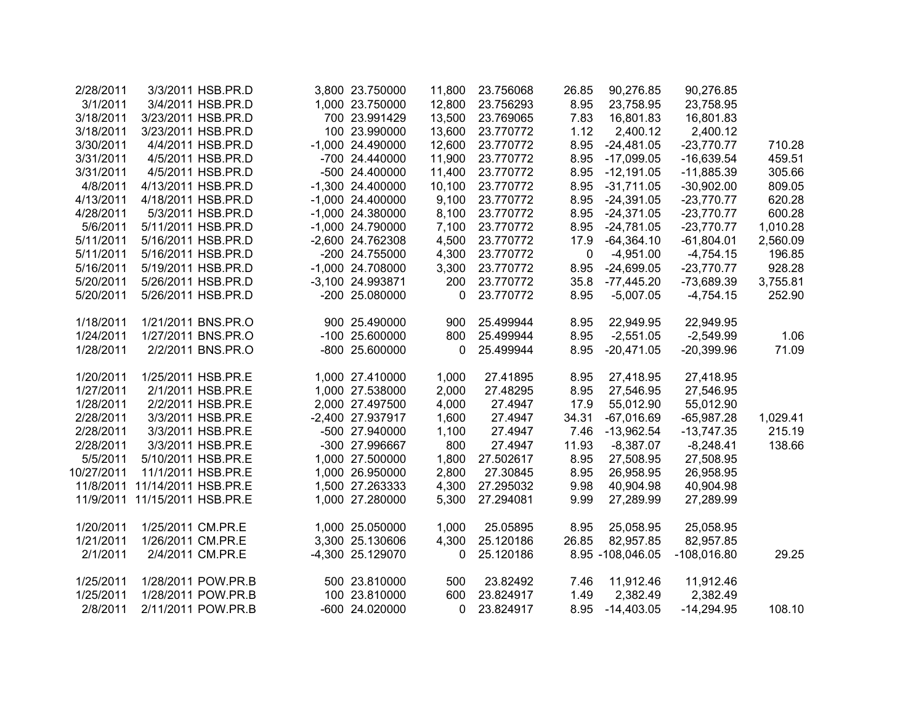| 2/28/2011  |                     | 3/3/2011 HSB.PR.D  | 3,800 23.750000    | 11,800      | 23.756068 | 26.85 | 90,276.85        | 90,276.85     |          |
|------------|---------------------|--------------------|--------------------|-------------|-----------|-------|------------------|---------------|----------|
| 3/1/2011   |                     | 3/4/2011 HSB.PR.D  | 1,000 23.750000    | 12,800      | 23.756293 | 8.95  | 23,758.95        | 23,758.95     |          |
| 3/18/2011  |                     | 3/23/2011 HSB.PR.D | 700 23.991429      | 13,500      | 23.769065 | 7.83  | 16,801.83        | 16,801.83     |          |
| 3/18/2011  |                     | 3/23/2011 HSB.PR.D | 100 23.990000      | 13,600      | 23.770772 | 1.12  | 2,400.12         | 2,400.12      |          |
| 3/30/2011  |                     | 4/4/2011 HSB.PR.D  | -1,000 24.490000   | 12,600      | 23.770772 | 8.95  | $-24,481.05$     | $-23,770.77$  | 710.28   |
| 3/31/2011  |                     | 4/5/2011 HSB.PR.D  | -700 24.440000     | 11,900      | 23.770772 | 8.95  | $-17,099.05$     | $-16,639.54$  | 459.51   |
| 3/31/2011  |                     | 4/5/2011 HSB.PR.D  | -500 24.400000     | 11,400      | 23.770772 | 8.95  | $-12,191.05$     | $-11,885.39$  | 305.66   |
| 4/8/2011   |                     | 4/13/2011 HSB.PR.D | -1,300 24.400000   | 10,100      | 23.770772 | 8.95  | $-31,711.05$     | $-30,902.00$  | 809.05   |
| 4/13/2011  |                     | 4/18/2011 HSB.PR.D | $-1,000$ 24.400000 | 9,100       | 23.770772 | 8.95  | $-24,391.05$     | $-23,770.77$  | 620.28   |
| 4/28/2011  |                     | 5/3/2011 HSB.PR.D  | $-1,000$ 24.380000 | 8,100       | 23.770772 | 8.95  | $-24,371.05$     | $-23,770.77$  | 600.28   |
| 5/6/2011   |                     | 5/11/2011 HSB.PR.D | -1,000 24.790000   | 7,100       | 23.770772 | 8.95  | $-24,781.05$     | $-23,770.77$  | 1,010.28 |
| 5/11/2011  |                     | 5/16/2011 HSB.PR.D | -2,600 24.762308   | 4,500       | 23.770772 | 17.9  | $-64,364.10$     | $-61,804.01$  | 2,560.09 |
| 5/11/2011  |                     | 5/16/2011 HSB.PR.D | -200 24.755000     | 4,300       | 23.770772 | 0     | $-4,951.00$      | $-4,754.15$   | 196.85   |
| 5/16/2011  |                     | 5/19/2011 HSB.PR.D | -1,000 24.708000   | 3,300       | 23.770772 | 8.95  | $-24,699.05$     | $-23,770.77$  | 928.28   |
| 5/20/2011  |                     | 5/26/2011 HSB.PR.D | -3,100 24.993871   | 200         | 23.770772 | 35.8  | $-77,445.20$     | $-73,689.39$  | 3,755.81 |
| 5/20/2011  |                     | 5/26/2011 HSB.PR.D | -200 25.080000     | $\mathbf 0$ | 23.770772 | 8.95  | $-5,007.05$      | $-4,754.15$   | 252.90   |
|            |                     |                    |                    |             |           |       |                  |               |          |
| 1/18/2011  |                     | 1/21/2011 BNS.PR.O | 900 25.490000      | 900         | 25.499944 | 8.95  | 22,949.95        | 22,949.95     |          |
| 1/24/2011  |                     | 1/27/2011 BNS.PR.O | -100 25.600000     | 800         | 25.499944 | 8.95  | $-2,551.05$      | $-2,549.99$   | 1.06     |
| 1/28/2011  |                     | 2/2/2011 BNS.PR.O  | -800 25.600000     | 0           | 25.499944 | 8.95  | $-20,471.05$     | $-20,399.96$  | 71.09    |
|            |                     |                    |                    |             |           |       |                  |               |          |
| 1/20/2011  |                     | 1/25/2011 HSB.PR.E | 1,000 27.410000    | 1,000       | 27.41895  | 8.95  | 27,418.95        | 27,418.95     |          |
| 1/27/2011  |                     | 2/1/2011 HSB.PR.E  | 1,000 27.538000    | 2,000       | 27.48295  | 8.95  | 27,546.95        | 27,546.95     |          |
| 1/28/2011  |                     | 2/2/2011 HSB.PR.E  | 2,000 27.497500    | 4,000       | 27.4947   | 17.9  | 55,012.90        | 55,012.90     |          |
| 2/28/2011  |                     | 3/3/2011 HSB.PR.E  | -2,400 27.937917   | 1,600       | 27.4947   | 34.31 | $-67,016.69$     | $-65,987.28$  | 1,029.41 |
| 2/28/2011  |                     | 3/3/2011 HSB.PR.E  | -500 27.940000     | 1,100       | 27.4947   | 7.46  | $-13,962.54$     | $-13,747.35$  | 215.19   |
| 2/28/2011  |                     | 3/3/2011 HSB.PR.E  | -300 27.996667     | 800         | 27.4947   | 11.93 | $-8,387.07$      | $-8,248.41$   | 138.66   |
| 5/5/2011   |                     | 5/10/2011 HSB.PR.E | 1,000 27.500000    | 1,800       | 27.502617 | 8.95  | 27,508.95        | 27,508.95     |          |
| 10/27/2011 |                     | 11/1/2011 HSB.PR.E | 1,000 26.950000    | 2,800       | 27.30845  | 8.95  | 26,958.95        | 26,958.95     |          |
| 11/8/2011  | 11/14/2011 HSB.PR.E |                    | 1,500 27.263333    | 4,300       | 27.295032 | 9.98  | 40,904.98        | 40,904.98     |          |
| 11/9/2011  | 11/15/2011 HSB.PR.E |                    | 1,000 27.280000    | 5,300       | 27.294081 | 9.99  | 27,289.99        | 27,289.99     |          |
|            |                     |                    |                    |             |           |       |                  |               |          |
| 1/20/2011  | 1/25/2011 CM.PR.E   |                    | 1,000 25.050000    | 1,000       | 25.05895  | 8.95  | 25,058.95        | 25,058.95     |          |
| 1/21/2011  | 1/26/2011 CM.PR.E   |                    | 3,300 25.130606    | 4,300       | 25.120186 | 26.85 | 82,957.85        | 82,957.85     |          |
| 2/1/2011   |                     | 2/4/2011 CM.PR.E   | -4,300 25.129070   | 0           | 25.120186 |       | 8.95 -108,046.05 | $-108,016.80$ | 29.25    |
|            |                     |                    |                    |             |           |       |                  |               |          |
| 1/25/2011  |                     | 1/28/2011 POW.PR.B | 500 23.810000      | 500         | 23.82492  | 7.46  | 11,912.46        | 11,912.46     |          |
| 1/25/2011  |                     | 1/28/2011 POW.PR.B | 100 23.810000      | 600         | 23.824917 | 1.49  | 2,382.49         | 2,382.49      |          |
| 2/8/2011   |                     | 2/11/2011 POW.PR.B | -600 24.020000     | $\Omega$    | 23.824917 | 8.95  | $-14,403.05$     | $-14,294.95$  | 108.10   |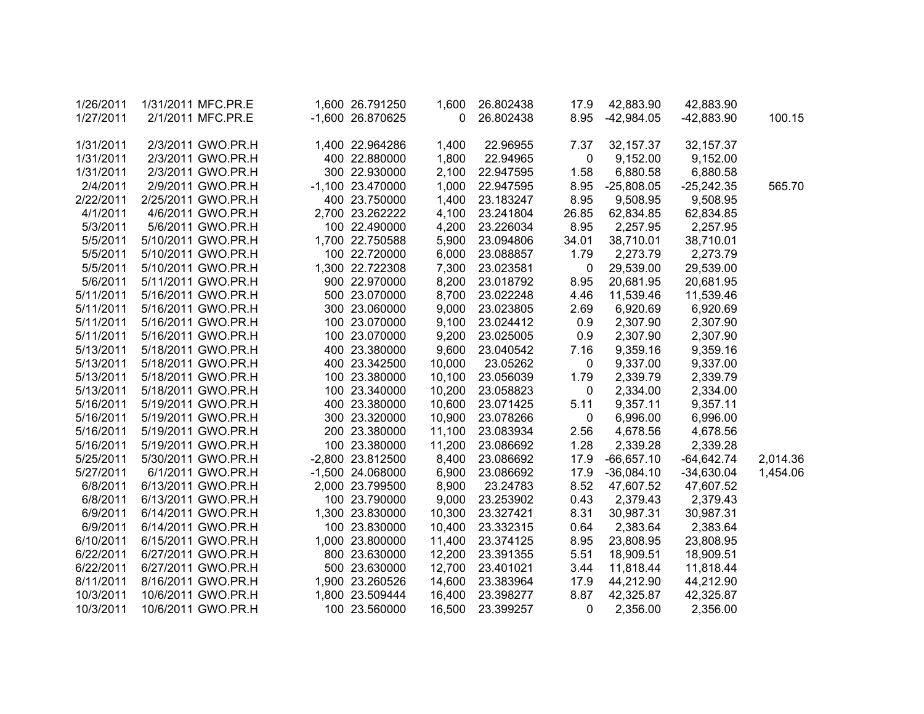| 1/26/2011 | 1/31/2011 MFC.PR.E | 1,600 26.791250    | 1,600        | 26.802438 | 17.9         | 42,883.90    | 42,883.90    |          |
|-----------|--------------------|--------------------|--------------|-----------|--------------|--------------|--------------|----------|
| 1/27/2011 | 2/1/2011 MFC.PR.E  | -1,600 26.870625   | $\mathbf{0}$ | 26.802438 | 8.95         | $-42,984.05$ | $-42,883.90$ | 100.15   |
|           |                    |                    |              |           |              |              |              |          |
| 1/31/2011 | 2/3/2011 GWO.PR.H  | 1,400 22.964286    | 1,400        | 22.96955  | 7.37         | 32, 157.37   | 32, 157.37   |          |
| 1/31/2011 | 2/3/2011 GWO.PR.H  | 400 22.880000      | 1,800        | 22.94965  | $\pmb{0}$    | 9,152.00     | 9,152.00     |          |
| 1/31/2011 | 2/3/2011 GWO.PR.H  | 300 22.930000      | 2,100        | 22.947595 | 1.58         | 6,880.58     | 6,880.58     |          |
| 2/4/2011  | 2/9/2011 GWO.PR.H  | $-1,100$ 23.470000 | 1,000        | 22.947595 | 8.95         | $-25,808.05$ | $-25,242.35$ | 565.70   |
| 2/22/2011 | 2/25/2011 GWO.PR.H | 400 23.750000      | 1,400        | 23.183247 | 8.95         | 9,508.95     | 9,508.95     |          |
| 4/1/2011  | 4/6/2011 GWO.PR.H  | 2,700 23.262222    | 4,100        | 23.241804 | 26.85        | 62,834.85    | 62,834.85    |          |
| 5/3/2011  | 5/6/2011 GWO.PR.H  | 100 22.490000      | 4,200        | 23.226034 | 8.95         | 2,257.95     | 2,257.95     |          |
| 5/5/2011  | 5/10/2011 GWO.PR.H | 1,700 22.750588    | 5,900        | 23.094806 | 34.01        | 38,710.01    | 38,710.01    |          |
| 5/5/2011  | 5/10/2011 GWO.PR.H | 100 22.720000      | 6,000        | 23.088857 | 1.79         | 2,273.79     | 2,273.79     |          |
| 5/5/2011  | 5/10/2011 GWO.PR.H | 1,300 22.722308    | 7,300        | 23.023581 | 0            | 29,539.00    | 29,539.00    |          |
| 5/6/2011  | 5/11/2011 GWO.PR.H | 900 22.970000      | 8,200        | 23.018792 | 8.95         | 20,681.95    | 20,681.95    |          |
| 5/11/2011 | 5/16/2011 GWO.PR.H | 500 23.070000      | 8,700        | 23.022248 | 4.46         | 11,539.46    | 11,539.46    |          |
| 5/11/2011 | 5/16/2011 GWO.PR.H | 300 23.060000      | 9,000        | 23.023805 | 2.69         | 6,920.69     | 6,920.69     |          |
| 5/11/2011 | 5/16/2011 GWO.PR.H | 100 23.070000      | 9,100        | 23.024412 | 0.9          | 2,307.90     | 2,307.90     |          |
| 5/11/2011 | 5/16/2011 GWO.PR.H | 100 23.070000      | 9,200        | 23.025005 | 0.9          | 2,307.90     | 2,307.90     |          |
| 5/13/2011 | 5/18/2011 GWO.PR.H | 400 23.380000      | 9,600        | 23.040542 | 7.16         | 9,359.16     | 9,359.16     |          |
| 5/13/2011 | 5/18/2011 GWO.PR.H | 400 23.342500      | 10,000       | 23.05262  | $\mathbf 0$  | 9,337.00     | 9,337.00     |          |
| 5/13/2011 | 5/18/2011 GWO.PR.H | 100 23.380000      | 10,100       | 23.056039 | 1.79         | 2,339.79     | 2,339.79     |          |
| 5/13/2011 | 5/18/2011 GWO.PR.H | 100 23.340000      | 10,200       | 23.058823 | $\mathbf 0$  | 2,334.00     | 2,334.00     |          |
| 5/16/2011 | 5/19/2011 GWO.PR.H | 400 23.380000      | 10,600       | 23.071425 | 5.11         | 9,357.11     | 9,357.11     |          |
| 5/16/2011 | 5/19/2011 GWO.PR.H | 300 23.320000      | 10,900       | 23.078266 | $\mathbf 0$  | 6,996.00     | 6,996.00     |          |
| 5/16/2011 | 5/19/2011 GWO.PR.H | 200 23.380000      | 11,100       | 23.083934 | 2.56         | 4,678.56     | 4,678.56     |          |
| 5/16/2011 | 5/19/2011 GWO.PR.H | 100 23.380000      | 11,200       | 23.086692 | 1.28         | 2,339.28     | 2,339.28     |          |
| 5/25/2011 | 5/30/2011 GWO.PR.H | -2,800 23.812500   | 8,400        | 23.086692 | 17.9         | $-66,657.10$ | $-64,642.74$ | 2,014.36 |
| 5/27/2011 | 6/1/2011 GWO.PR.H  | -1,500 24.068000   | 6,900        | 23.086692 | 17.9         | $-36,084.10$ | $-34,630.04$ | 1,454.06 |
| 6/8/2011  | 6/13/2011 GWO.PR.H | 2,000 23.799500    | 8,900        | 23.24783  | 8.52         | 47,607.52    | 47,607.52    |          |
| 6/8/2011  | 6/13/2011 GWO.PR.H | 100 23.790000      | 9,000        | 23.253902 | 0.43         | 2,379.43     | 2,379.43     |          |
| 6/9/2011  | 6/14/2011 GWO.PR.H | 1,300 23.830000    | 10,300       | 23.327421 | 8.31         | 30,987.31    | 30,987.31    |          |
| 6/9/2011  | 6/14/2011 GWO.PR.H | 100 23.830000      | 10,400       | 23.332315 | 0.64         | 2,383.64     | 2,383.64     |          |
| 6/10/2011 | 6/15/2011 GWO.PR.H | 1,000 23.800000    | 11,400       | 23.374125 | 8.95         | 23,808.95    | 23,808.95    |          |
| 6/22/2011 | 6/27/2011 GWO.PR.H | 800 23.630000      | 12,200       | 23.391355 | 5.51         | 18,909.51    | 18,909.51    |          |
| 6/22/2011 | 6/27/2011 GWO.PR.H | 500 23.630000      | 12,700       | 23.401021 | 3.44         | 11,818.44    | 11,818.44    |          |
| 8/11/2011 | 8/16/2011 GWO.PR.H | 1,900 23.260526    | 14,600       | 23.383964 | 17.9         | 44,212.90    | 44,212.90    |          |
| 10/3/2011 | 10/6/2011 GWO.PR.H | 1,800 23.509444    | 16,400       | 23.398277 | 8.87         | 42,325.87    | 42,325.87    |          |
| 10/3/2011 | 10/6/2011 GWO.PR.H | 100 23.560000      | 16,500       | 23.399257 | $\mathbf{0}$ | 2,356.00     | 2,356.00     |          |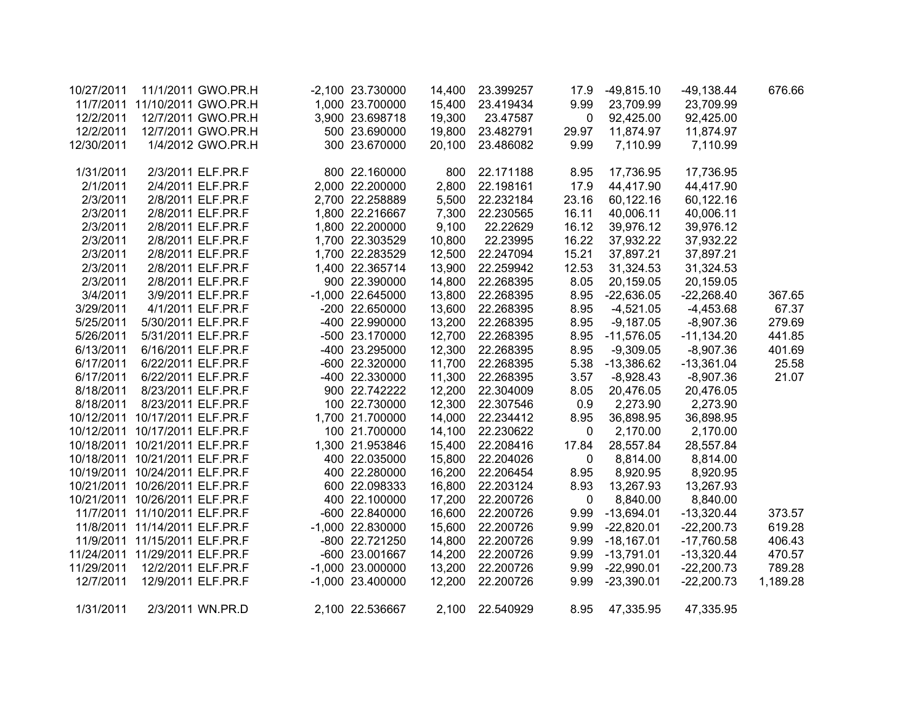| 10/27/2011 |                                | 11/1/2011 GWO.PR.H            | -2,100 23.730000   | 14,400 | 23.399257 | 17.9        | $-49,815.10$ | $-49,138.44$ | 676.66   |
|------------|--------------------------------|-------------------------------|--------------------|--------|-----------|-------------|--------------|--------------|----------|
|            |                                | 11/7/2011 11/10/2011 GWO.PR.H | 1,000 23.700000    | 15,400 | 23.419434 | 9.99        | 23,709.99    | 23,709.99    |          |
| 12/2/2011  |                                | 12/7/2011 GWO.PR.H            | 3,900 23.698718    | 19,300 | 23.47587  | 0           | 92,425.00    | 92,425.00    |          |
| 12/2/2011  |                                | 12/7/2011 GWO.PR.H            | 500 23.690000      | 19,800 | 23.482791 | 29.97       | 11,874.97    | 11,874.97    |          |
| 12/30/2011 |                                | 1/4/2012 GWO.PR.H             | 300 23.670000      | 20,100 | 23.486082 | 9.99        | 7,110.99     | 7,110.99     |          |
|            |                                |                               |                    |        |           |             |              |              |          |
| 1/31/2011  |                                | 2/3/2011 ELF.PR.F             | 800 22.160000      | 800    | 22.171188 | 8.95        | 17,736.95    | 17,736.95    |          |
| 2/1/2011   |                                | 2/4/2011 ELF.PR.F             | 2,000 22.200000    | 2,800  | 22.198161 | 17.9        | 44,417.90    | 44,417.90    |          |
| 2/3/2011   |                                | 2/8/2011 ELF.PR.F             | 2,700 22.258889    | 5,500  | 22.232184 | 23.16       | 60,122.16    | 60,122.16    |          |
| 2/3/2011   |                                | 2/8/2011 ELF.PR.F             | 1,800 22.216667    | 7,300  | 22.230565 | 16.11       | 40,006.11    | 40,006.11    |          |
| 2/3/2011   |                                | 2/8/2011 ELF.PR.F             | 1,800 22.200000    | 9,100  | 22.22629  | 16.12       | 39,976.12    | 39,976.12    |          |
| 2/3/2011   |                                | 2/8/2011 ELF.PR.F             | 1,700 22.303529    | 10,800 | 22.23995  | 16.22       | 37,932.22    | 37,932.22    |          |
| 2/3/2011   |                                | 2/8/2011 ELF.PR.F             | 1,700 22.283529    | 12,500 | 22.247094 | 15.21       | 37,897.21    | 37,897.21    |          |
| 2/3/2011   |                                | 2/8/2011 ELF.PR.F             | 1,400 22.365714    | 13,900 | 22.259942 | 12.53       | 31,324.53    | 31,324.53    |          |
| 2/3/2011   |                                | 2/8/2011 ELF.PR.F             | 900 22.390000      | 14,800 | 22.268395 | 8.05        | 20,159.05    | 20,159.05    |          |
| 3/4/2011   |                                | 3/9/2011 ELF.PR.F             | -1,000 22.645000   | 13,800 | 22.268395 | 8.95        | $-22,636.05$ | $-22,268.40$ | 367.65   |
| 3/29/2011  |                                | 4/1/2011 ELF.PR.F             | -200 22.650000     | 13,600 | 22.268395 | 8.95        | $-4,521.05$  | $-4,453.68$  | 67.37    |
| 5/25/2011  |                                | 5/30/2011 ELF.PR.F            | -400 22.990000     | 13,200 | 22.268395 | 8.95        | $-9,187.05$  | $-8,907.36$  | 279.69   |
| 5/26/2011  |                                | 5/31/2011 ELF.PR.F            | -500 23.170000     | 12,700 | 22.268395 | 8.95        | $-11,576.05$ | $-11,134.20$ | 441.85   |
| 6/13/2011  |                                | 6/16/2011 ELF.PR.F            | -400 23.295000     | 12,300 | 22.268395 | 8.95        | $-9,309.05$  | $-8,907.36$  | 401.69   |
| 6/17/2011  |                                | 6/22/2011 ELF.PR.F            | -600 22.320000     | 11,700 | 22.268395 | 5.38        | -13,386.62   | $-13,361.04$ | 25.58    |
| 6/17/2011  |                                | 6/22/2011 ELF.PR.F            | -400 22.330000     | 11,300 | 22.268395 | 3.57        | $-8,928.43$  | $-8,907.36$  | 21.07    |
| 8/18/2011  | 8/23/2011 ELF.PR.F             |                               | 900 22.742222      | 12,200 | 22.304009 | 8.05        | 20,476.05    | 20,476.05    |          |
| 8/18/2011  | 8/23/2011 ELF.PR.F             |                               | 100 22.730000      | 12,300 | 22.307546 | 0.9         | 2,273.90     | 2,273.90     |          |
|            | 10/12/2011 10/17/2011 ELF.PR.F |                               | 1,700 21.700000    | 14,000 | 22.234412 | 8.95        | 36,898.95    | 36,898.95    |          |
|            | 10/12/2011 10/17/2011 ELF.PR.F |                               | 100 21.700000      | 14,100 | 22.230622 | $\mathbf 0$ | 2,170.00     | 2,170.00     |          |
|            | 10/18/2011 10/21/2011 ELF.PR.F |                               | 1,300 21.953846    | 15,400 | 22.208416 | 17.84       | 28,557.84    | 28,557.84    |          |
|            | 10/18/2011 10/21/2011 ELF.PR.F |                               | 400 22.035000      | 15,800 | 22.204026 | $\mathbf 0$ | 8,814.00     | 8,814.00     |          |
|            | 10/19/2011 10/24/2011 ELF.PR.F |                               | 400 22.280000      | 16,200 | 22.206454 | 8.95        | 8,920.95     | 8,920.95     |          |
|            | 10/21/2011 10/26/2011 ELF.PR.F |                               | 600 22.098333      | 16,800 | 22.203124 | 8.93        | 13,267.93    | 13,267.93    |          |
|            | 10/21/2011 10/26/2011 ELF.PR.F |                               | 400 22.100000      | 17,200 | 22.200726 | 0           | 8,840.00     | 8,840.00     |          |
|            | 11/7/2011 11/10/2011 ELF.PR.F  |                               | -600 22.840000     | 16,600 | 22.200726 | 9.99        | $-13,694.01$ | $-13,320.44$ | 373.57   |
|            | 11/8/2011 11/14/2011 ELF.PR.F  |                               | $-1,000$ 22.830000 | 15,600 | 22.200726 | 9.99        | $-22,820.01$ | $-22,200.73$ | 619.28   |
|            | 11/9/2011 11/15/2011 ELF.PR.F  |                               | -800 22.721250     | 14,800 | 22.200726 | 9.99        | $-18,167.01$ | $-17,760.58$ | 406.43   |
|            | 11/24/2011 11/29/2011 ELF.PR.F |                               | -600 23.001667     | 14,200 | 22.200726 | 9.99        | $-13,791.01$ | $-13,320.44$ | 470.57   |
| 11/29/2011 |                                | 12/2/2011 ELF.PR.F            | $-1,000$ 23.000000 | 13,200 | 22.200726 | 9.99        | $-22,990.01$ | $-22,200.73$ | 789.28   |
| 12/7/2011  |                                | 12/9/2011 ELF.PR.F            | $-1,000$ 23.400000 | 12,200 | 22.200726 | 9.99        | $-23,390.01$ | $-22,200.73$ | 1,189.28 |
| 1/31/2011  |                                | 2/3/2011 WN.PR.D              | 2,100 22.536667    | 2,100  | 22.540929 | 8.95        | 47,335.95    | 47,335.95    |          |
|            |                                |                               |                    |        |           |             |              |              |          |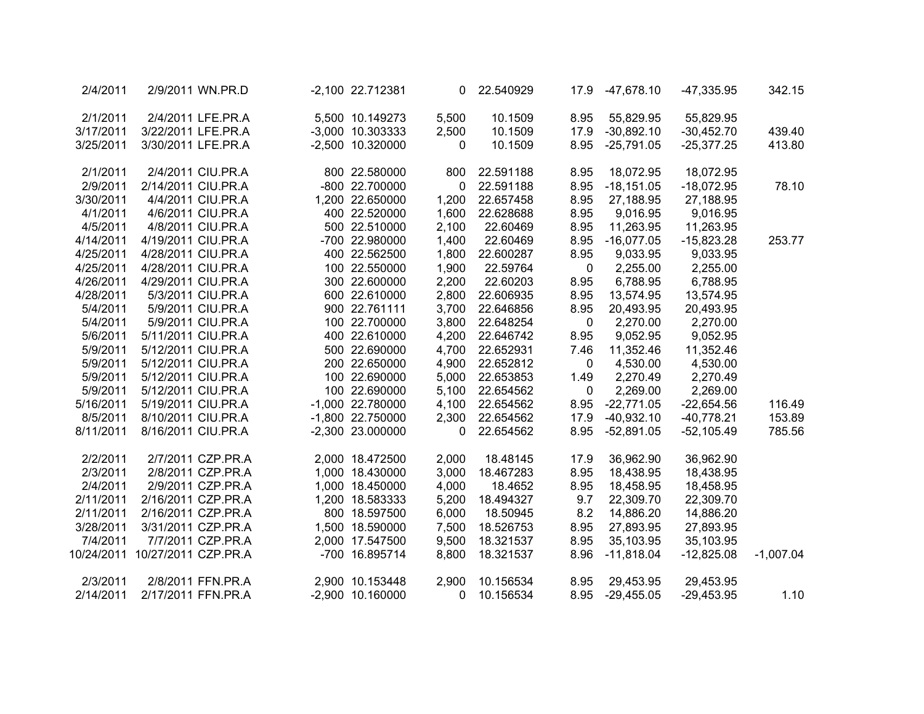| 342.15      | $-47,335.95$ | $-47,678.10$    | 17.9 | 22.540929 | 0            | -2,100 22.712381 | 2/9/2011 WN.PR.D   |                     | 2/4/2011   |
|-------------|--------------|-----------------|------|-----------|--------------|------------------|--------------------|---------------------|------------|
|             | 55,829.95    | 55,829.95       | 8.95 | 10.1509   | 5,500        | 5,500 10.149273  | 2/4/2011 LFE.PR.A  |                     | 2/1/2011   |
| 439.40      | $-30,452.70$ | $-30,892.10$    | 17.9 | 10.1509   | 2,500        | -3,000 10.303333 | 3/22/2011 LFE.PR.A |                     | 3/17/2011  |
| 413.80      | $-25,377.25$ | $-25,791.05$    | 8.95 | 10.1509   | $\mathbf{0}$ | -2,500 10.320000 | 3/30/2011 LFE.PR.A |                     | 3/25/2011  |
|             | 18,072.95    | 18,072.95       | 8.95 | 22.591188 | 800          | 800 22.580000    | 2/4/2011 CIU.PR.A  |                     | 2/1/2011   |
| 78.10       | $-18,072.95$ | $-18,151.05$    | 8.95 | 22.591188 | $\mathbf 0$  | -800 22.700000   | 2/14/2011 CIU.PR.A |                     | 2/9/2011   |
|             | 27,188.95    | 27,188.95       | 8.95 | 22.657458 | 1,200        | 1,200 22.650000  | 4/4/2011 CIU.PR.A  |                     | 3/30/2011  |
|             | 9,016.95     | 9,016.95        | 8.95 | 22.628688 | 1,600        | 400 22.520000    | 4/6/2011 CIU.PR.A  |                     | 4/1/2011   |
|             | 11,263.95    | 11,263.95       | 8.95 | 22.60469  | 2,100        | 500 22.510000    | 4/8/2011 CIU.PR.A  |                     | 4/5/2011   |
| 253.77      | $-15,823.28$ | $-16,077.05$    | 8.95 | 22.60469  | 1,400        | -700 22.980000   | 4/19/2011 CIU.PR.A |                     | 4/14/2011  |
|             | 9,033.95     | 9,033.95        | 8.95 | 22.600287 | 1,800        | 400 22.562500    | 4/28/2011 CIU.PR.A |                     | 4/25/2011  |
|             | 2,255.00     | 2,255.00        | 0    | 22.59764  | 1,900        | 100 22.550000    | 4/28/2011 CIU.PR.A |                     | 4/25/2011  |
|             | 6,788.95     | 6,788.95        | 8.95 | 22.60203  | 2,200        | 300 22.600000    | 4/29/2011 CIU.PR.A |                     | 4/26/2011  |
|             | 13,574.95    | 13,574.95       | 8.95 | 22.606935 | 2,800        | 600 22.610000    | 5/3/2011 CIU.PR.A  |                     | 4/28/2011  |
|             | 20,493.95    | 20,493.95       | 8.95 | 22.646856 | 3,700        | 900 22.761111    | 5/9/2011 CIU.PR.A  |                     | 5/4/2011   |
|             | 2,270.00     | 2,270.00        | 0    | 22.648254 | 3,800        | 100 22.700000    | 5/9/2011 CIU.PR.A  |                     | 5/4/2011   |
|             | 9,052.95     | 9,052.95        | 8.95 | 22.646742 | 4,200        | 400 22.610000    | 5/11/2011 CIU.PR.A |                     | 5/6/2011   |
|             | 11,352.46    | 11,352.46       | 7.46 | 22.652931 | 4,700        | 500 22.690000    | 5/12/2011 CIU.PR.A |                     | 5/9/2011   |
|             | 4,530.00     | 4,530.00        | 0    | 22.652812 | 4,900        | 200 22.650000    | 5/12/2011 CIU.PR.A |                     | 5/9/2011   |
|             | 2,270.49     | 2,270.49        | 1.49 | 22.653853 | 5,000        | 100 22.690000    | 5/12/2011 CIU.PR.A |                     | 5/9/2011   |
|             | 2,269.00     | 2,269.00        | 0    | 22.654562 | 5,100        | 100 22.690000    | 5/12/2011 CIU.PR.A |                     | 5/9/2011   |
| 116.49      | $-22,654.56$ | $-22,771.05$    | 8.95 | 22.654562 | 4,100        | -1,000 22.780000 | 5/19/2011 CIU.PR.A |                     | 5/16/2011  |
| 153.89      | $-40,778.21$ | $-40,932.10$    | 17.9 | 22.654562 | 2,300        | -1,800 22.750000 | 8/10/2011 CIU.PR.A |                     | 8/5/2011   |
| 785.56      | $-52,105.49$ | $-52,891.05$    | 8.95 | 22.654562 | 0            | -2,300 23.000000 | 8/16/2011 CIU.PR.A |                     | 8/11/2011  |
|             | 36,962.90    | 36,962.90       | 17.9 | 18.48145  | 2,000        | 2,000 18.472500  | 2/7/2011 CZP.PR.A  |                     | 2/2/2011   |
|             | 18,438.95    | 18,438.95       | 8.95 | 18.467283 | 3,000        | 1,000 18.430000  | 2/8/2011 CZP.PR.A  |                     | 2/3/2011   |
|             | 18,458.95    | 18,458.95       | 8.95 | 18.4652   | 4,000        | 1,000 18.450000  | 2/9/2011 CZP.PR.A  |                     | 2/4/2011   |
|             | 22,309.70    | 22,309.70       | 9.7  | 18.494327 | 5,200        | 1,200 18.583333  | 2/16/2011 CZP.PR.A |                     | 2/11/2011  |
|             | 14,886.20    | 14,886.20       | 8.2  | 18.50945  | 6,000        | 800 18.597500    | 2/16/2011 CZP.PR.A |                     | 2/11/2011  |
|             | 27,893.95    | 27,893.95       | 8.95 | 18.526753 | 7,500        | 1,500 18.590000  | 3/31/2011 CZP.PR.A |                     | 3/28/2011  |
|             | 35,103.95    | 35,103.95       | 8.95 | 18.321537 | 9,500        | 2,000 17.547500  | 7/7/2011 CZP.PR.A  |                     | 7/4/2011   |
| $-1,007.04$ | $-12,825.08$ | $-11,818.04$    | 8.96 | 18.321537 | 8,800        | -700 16.895714   |                    | 10/27/2011 CZP.PR.A | 10/24/2011 |
|             | 29,453.95    | 29,453.95       | 8.95 | 10.156534 | 2,900        | 2,900 10.153448  | 2/8/2011 FFN.PR.A  |                     | 2/3/2011   |
| 1.10        | $-29,453.95$ | 8.95 -29,455.05 |      | 10.156534 | 0            | -2,900 10.160000 | 2/17/2011 FFN.PR.A |                     | 2/14/2011  |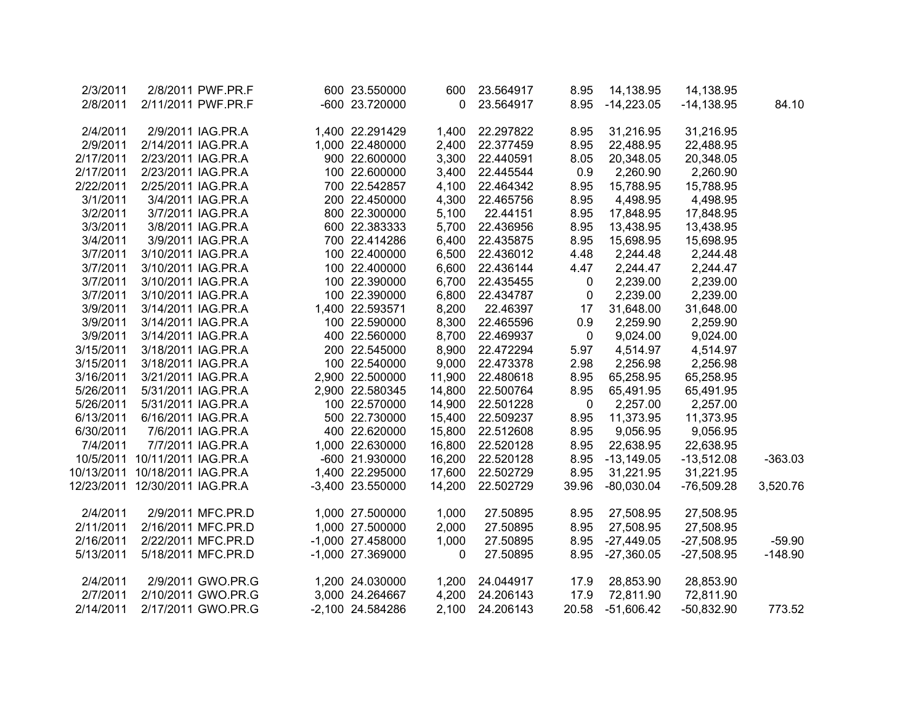| 2/3/2011   |                                  | 2/8/2011 PWF.PR.F  | 600 23.550000    | 600      | 23.564917 | 8.95        | 14,138.95    | 14,138.95     |           |
|------------|----------------------------------|--------------------|------------------|----------|-----------|-------------|--------------|---------------|-----------|
| 2/8/2011   |                                  | 2/11/2011 PWF.PR.F | -600 23.720000   | $\Omega$ | 23.564917 | 8.95        | $-14,223.05$ | $-14, 138.95$ | 84.10     |
|            |                                  |                    |                  |          |           |             |              |               |           |
| 2/4/2011   |                                  | 2/9/2011 IAG.PR.A  | 1,400 22.291429  | 1,400    | 22.297822 | 8.95        | 31,216.95    | 31,216.95     |           |
| 2/9/2011   |                                  | 2/14/2011 IAG.PR.A | 1,000 22.480000  | 2,400    | 22.377459 | 8.95        | 22,488.95    | 22,488.95     |           |
| 2/17/2011  |                                  | 2/23/2011 IAG.PR.A | 900 22.600000    | 3,300    | 22.440591 | 8.05        | 20,348.05    | 20,348.05     |           |
| 2/17/2011  |                                  | 2/23/2011 IAG.PR.A | 100 22.600000    | 3,400    | 22.445544 | 0.9         | 2,260.90     | 2,260.90      |           |
| 2/22/2011  |                                  | 2/25/2011 IAG.PR.A | 700 22.542857    | 4,100    | 22.464342 | 8.95        | 15,788.95    | 15,788.95     |           |
| 3/1/2011   |                                  | 3/4/2011 IAG.PR.A  | 200 22.450000    | 4,300    | 22.465756 | 8.95        | 4,498.95     | 4,498.95      |           |
| 3/2/2011   |                                  | 3/7/2011 IAG.PR.A  | 800 22.300000    | 5,100    | 22.44151  | 8.95        | 17,848.95    | 17,848.95     |           |
| 3/3/2011   |                                  | 3/8/2011 IAG.PR.A  | 600 22.383333    | 5,700    | 22.436956 | 8.95        | 13,438.95    | 13,438.95     |           |
| 3/4/2011   |                                  | 3/9/2011 IAG.PR.A  | 700 22.414286    | 6,400    | 22.435875 | 8.95        | 15,698.95    | 15,698.95     |           |
| 3/7/2011   |                                  | 3/10/2011 IAG.PR.A | 100 22.400000    | 6,500    | 22.436012 | 4.48        | 2,244.48     | 2,244.48      |           |
| 3/7/2011   |                                  | 3/10/2011 IAG.PR.A | 100 22.400000    | 6,600    | 22.436144 | 4.47        | 2,244.47     | 2,244.47      |           |
| 3/7/2011   |                                  | 3/10/2011 IAG.PR.A | 100 22.390000    | 6,700    | 22.435455 | $\mathbf 0$ | 2,239.00     | 2,239.00      |           |
| 3/7/2011   |                                  | 3/10/2011 IAG.PR.A | 100 22.390000    | 6,800    | 22.434787 | $\mathbf 0$ | 2,239.00     | 2,239.00      |           |
| 3/9/2011   |                                  | 3/14/2011 IAG.PR.A | 1,400 22.593571  | 8,200    | 22.46397  | 17          | 31,648.00    | 31,648.00     |           |
| 3/9/2011   |                                  | 3/14/2011 IAG.PR.A | 100 22.590000    | 8,300    | 22.465596 | 0.9         | 2,259.90     | 2,259.90      |           |
| 3/9/2011   |                                  | 3/14/2011 IAG.PR.A | 400 22.560000    | 8,700    | 22.469937 | $\mathbf 0$ | 9,024.00     | 9,024.00      |           |
| 3/15/2011  |                                  | 3/18/2011 IAG.PR.A | 200 22.545000    | 8,900    | 22.472294 | 5.97        | 4,514.97     | 4,514.97      |           |
| 3/15/2011  |                                  | 3/18/2011 IAG.PR.A | 100 22.540000    | 9,000    | 22.473378 | 2.98        | 2,256.98     | 2,256.98      |           |
| 3/16/2011  |                                  | 3/21/2011 IAG.PR.A | 2,900 22.500000  | 11,900   | 22.480618 | 8.95        | 65,258.95    | 65,258.95     |           |
| 5/26/2011  |                                  | 5/31/2011 IAG.PR.A | 2,900 22.580345  | 14,800   | 22.500764 | 8.95        | 65,491.95    | 65,491.95     |           |
| 5/26/2011  |                                  | 5/31/2011 IAG.PR.A | 100 22.570000    | 14,900   | 22.501228 | $\mathbf 0$ | 2,257.00     | 2,257.00      |           |
| 6/13/2011  |                                  | 6/16/2011 IAG.PR.A | 500 22.730000    | 15,400   | 22.509237 | 8.95        | 11,373.95    | 11,373.95     |           |
| 6/30/2011  |                                  | 7/6/2011 IAG.PR.A  | 400 22.620000    | 15,800   | 22.512608 | 8.95        | 9,056.95     | 9,056.95      |           |
| 7/4/2011   |                                  | 7/7/2011 IAG.PR.A  | 1,000 22.630000  | 16,800   | 22.520128 | 8.95        | 22,638.95    | 22,638.95     |           |
|            | 10/5/2011 10/11/2011 IAG.PR.A    |                    | -600 21.930000   | 16,200   | 22.520128 | 8.95        | $-13,149.05$ | $-13,512.08$  | $-363.03$ |
| 10/13/2011 | 10/18/2011 IAG.PR.A              |                    | 1,400 22.295000  | 17,600   | 22.502729 | 8.95        | 31,221.95    | 31,221.95     |           |
|            | 12/23/2011  12/30/2011  IAG.PR.A |                    | -3,400 23.550000 | 14,200   | 22.502729 | 39.96       | $-80,030.04$ | $-76,509.28$  | 3,520.76  |
|            |                                  |                    |                  |          |           |             |              |               |           |
| 2/4/2011   |                                  | 2/9/2011 MFC.PR.D  | 1,000 27.500000  | 1,000    | 27.50895  | 8.95        | 27,508.95    | 27,508.95     |           |
| 2/11/2011  |                                  | 2/16/2011 MFC.PR.D | 1,000 27.500000  | 2,000    | 27.50895  | 8.95        | 27,508.95    | 27,508.95     |           |
| 2/16/2011  |                                  | 2/22/2011 MFC.PR.D | -1,000 27.458000 | 1,000    | 27.50895  | 8.95        | $-27,449.05$ | $-27,508.95$  | $-59.90$  |
| 5/13/2011  |                                  | 5/18/2011 MFC.PR.D | -1,000 27.369000 | 0        | 27.50895  | 8.95        | $-27,360.05$ | $-27,508.95$  | $-148.90$ |
|            |                                  |                    |                  |          |           |             |              |               |           |
| 2/4/2011   |                                  | 2/9/2011 GWO.PR.G  | 1,200 24.030000  | 1,200    | 24.044917 | 17.9        | 28,853.90    | 28,853.90     |           |
| 2/7/2011   |                                  | 2/10/2011 GWO.PR.G | 3,000 24.264667  | 4,200    | 24.206143 | 17.9        | 72,811.90    | 72,811.90     |           |
| 2/14/2011  |                                  | 2/17/2011 GWO.PR.G | -2,100 24.584286 | 2,100    | 24.206143 | 20.58       | $-51,606.42$ | $-50,832.90$  | 773.52    |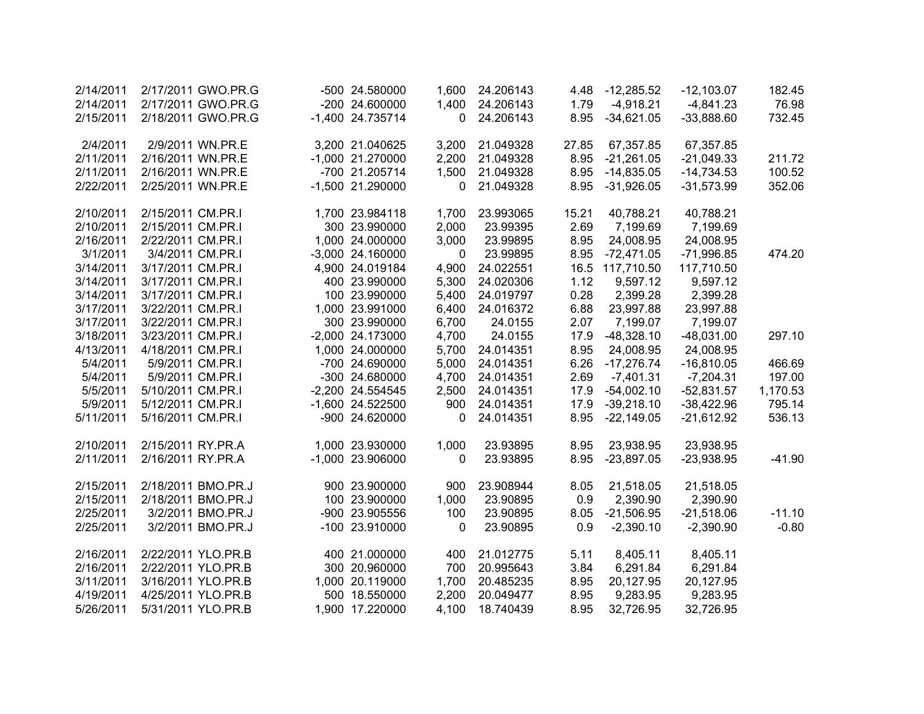| 2/14/2011 |                   | 2/17/2011 GWO.PR.G | -500 24.580000     | 1,600        | 24.206143 | 4.48  | $-12,285.52$ | $-12,103.07$ | 182.45   |
|-----------|-------------------|--------------------|--------------------|--------------|-----------|-------|--------------|--------------|----------|
| 2/14/2011 |                   | 2/17/2011 GWO.PR.G | -200 24.600000     | 1,400        | 24.206143 | 1.79  | $-4,918.21$  | $-4,841.23$  | 76.98    |
| 2/15/2011 |                   | 2/18/2011 GWO.PR.G | -1,400 24.735714   | 0            | 24.206143 | 8.95  | $-34,621.05$ | $-33,888.60$ | 732.45   |
| 2/4/2011  |                   | 2/9/2011 WN.PR.E   | 3,200 21.040625    | 3,200        | 21.049328 | 27.85 | 67,357.85    | 67,357.85    |          |
| 2/11/2011 | 2/16/2011 WN.PR.E |                    | -1,000 21.270000   | 2,200        | 21.049328 | 8.95  | $-21,261.05$ | $-21,049.33$ | 211.72   |
| 2/11/2011 | 2/16/2011 WN.PR.E |                    | -700 21.205714     | 1,500        | 21.049328 | 8.95  | $-14,835.05$ | $-14,734.53$ | 100.52   |
| 2/22/2011 | 2/25/2011 WN.PR.E |                    | -1,500 21.290000   | 0            | 21.049328 | 8.95  | $-31,926.05$ | $-31,573.99$ | 352.06   |
| 2/10/2011 | 2/15/2011 CM.PR.I |                    | 1,700 23.984118    | 1,700        | 23.993065 | 15.21 | 40,788.21    | 40,788.21    |          |
| 2/10/2011 | 2/15/2011 CM.PR.I |                    | 300 23.990000      | 2,000        | 23.99395  | 2.69  | 7,199.69     | 7,199.69     |          |
| 2/16/2011 | 2/22/2011 CM.PR.I |                    | 1,000 24.000000    | 3,000        | 23.99895  | 8.95  | 24,008.95    | 24,008.95    |          |
| 3/1/2011  | 3/4/2011 CM.PR.I  |                    | $-3,000$ 24.160000 | $\mathbf{0}$ | 23.99895  | 8.95  | $-72,471.05$ | $-71,996.85$ | 474.20   |
| 3/14/2011 | 3/17/2011 CM.PR.I |                    | 4,900 24.019184    | 4,900        | 24.022551 | 16.5  | 117,710.50   | 117,710.50   |          |
| 3/14/2011 | 3/17/2011 CM.PR.I |                    | 400 23.990000      | 5,300        | 24.020306 | 1.12  | 9,597.12     | 9,597.12     |          |
| 3/14/2011 | 3/17/2011 CM.PR.I |                    | 100 23.990000      | 5,400        | 24.019797 | 0.28  | 2,399.28     | 2,399.28     |          |
| 3/17/2011 | 3/22/2011 CM.PR.I |                    | 1,000 23.991000    | 6,400        | 24.016372 | 6.88  | 23,997.88    | 23,997.88    |          |
| 3/17/2011 | 3/22/2011 CM.PR.I |                    | 300 23.990000      | 6,700        | 24.0155   | 2.07  | 7,199.07     | 7,199.07     |          |
| 3/18/2011 | 3/23/2011 CM.PR.I |                    | -2,000 24.173000   | 4,700        | 24.0155   | 17.9  | $-48,328.10$ | $-48,031.00$ | 297.10   |
| 4/13/2011 | 4/18/2011 CM.PR.I |                    | 1,000 24.000000    | 5,700        | 24.014351 | 8.95  | 24,008.95    | 24,008.95    |          |
| 5/4/2011  | 5/9/2011 CM.PR.I  |                    | -700 24.690000     | 5,000        | 24.014351 | 6.26  | $-17,276.74$ | $-16,810.05$ | 466.69   |
| 5/4/2011  | 5/9/2011 CM.PR.I  |                    | -300 24.680000     | 4,700        | 24.014351 | 2.69  | $-7,401.31$  | $-7,204.31$  | 197.00   |
| 5/5/2011  | 5/10/2011 CM.PR.I |                    | -2,200 24.554545   | 2,500        | 24.014351 | 17.9  | $-54,002.10$ | $-52,831.57$ | 1,170.53 |
| 5/9/2011  | 5/12/2011 CM.PR.I |                    | -1,600 24.522500   | 900          | 24.014351 | 17.9  | $-39,218.10$ | $-38,422.96$ | 795.14   |
| 5/11/2011 | 5/16/2011 CM.PR.I |                    | -900 24.620000     | $\Omega$     | 24.014351 | 8.95  | $-22,149.05$ | $-21,612.92$ | 536.13   |
| 2/10/2011 | 2/15/2011 RY.PR.A |                    | 1,000 23.930000    | 1,000        | 23.93895  | 8.95  | 23,938.95    | 23,938.95    |          |
| 2/11/2011 | 2/16/2011 RY.PR.A |                    | -1,000 23.906000   | 0            | 23.93895  | 8.95  | $-23,897.05$ | $-23,938.95$ | $-41.90$ |
| 2/15/2011 |                   | 2/18/2011 BMO.PR.J | 900 23.900000      | 900          | 23.908944 | 8.05  | 21,518.05    | 21,518.05    |          |
| 2/15/2011 |                   | 2/18/2011 BMO.PR.J | 100 23.900000      | 1,000        | 23.90895  | 0.9   | 2,390.90     | 2,390.90     |          |
| 2/25/2011 |                   | 3/2/2011 BMO.PR.J  | -900 23.905556     | 100          | 23.90895  | 8.05  | $-21,506.95$ | $-21,518.06$ | $-11.10$ |
| 2/25/2011 |                   | 3/2/2011 BMO.PR.J  | -100 23.910000     | $\mathbf{0}$ | 23.90895  | 0.9   | $-2,390.10$  | $-2,390.90$  | $-0.80$  |
| 2/16/2011 |                   | 2/22/2011 YLO.PR.B | 400 21.000000      | 400          | 21.012775 | 5.11  | 8,405.11     | 8,405.11     |          |
| 2/16/2011 |                   | 2/22/2011 YLO.PR.B | 300 20.960000      | 700          | 20.995643 | 3.84  | 6,291.84     | 6,291.84     |          |
| 3/11/2011 |                   | 3/16/2011 YLO.PR.B | 1,000 20.119000    | 1,700        | 20.485235 | 8.95  | 20,127.95    | 20,127.95    |          |
| 4/19/2011 |                   | 4/25/2011 YLO.PR.B | 500 18.550000      | 2,200        | 20.049477 | 8.95  | 9,283.95     | 9,283.95     |          |
| 5/26/2011 |                   | 5/31/2011 YLO.PR.B | 1,900 17.220000    | 4,100        | 18.740439 | 8.95  | 32,726.95    | 32,726.95    |          |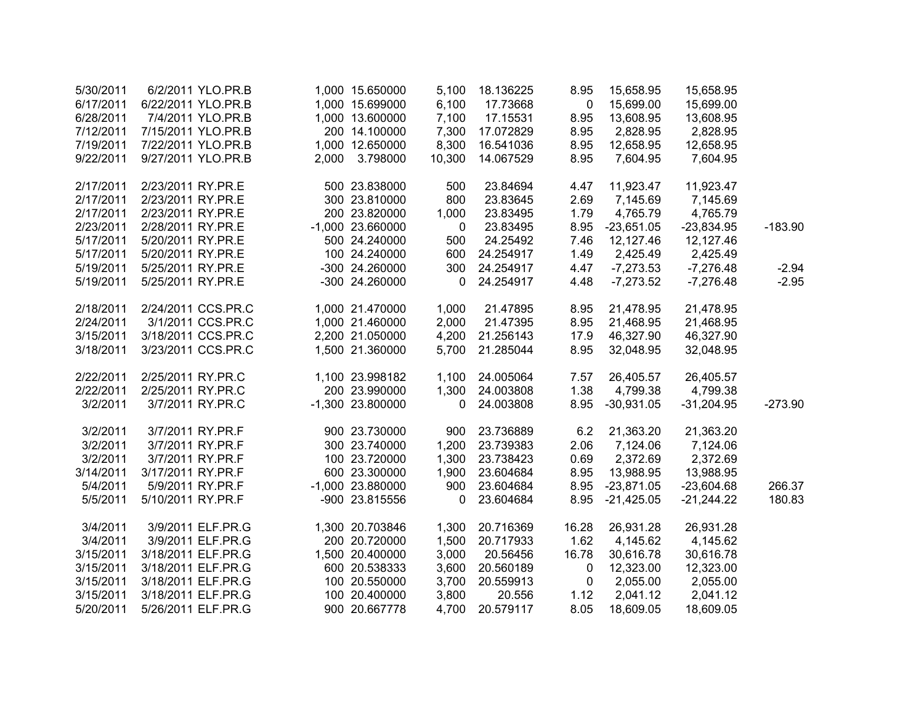| 5/30/2011 | 6/2/2011 YLO.PR.B  |       | 1,000 15.650000  | 5,100        | 18.136225 | 8.95         | 15,658.95    | 15,658.95    |           |
|-----------|--------------------|-------|------------------|--------------|-----------|--------------|--------------|--------------|-----------|
| 6/17/2011 | 6/22/2011 YLO.PR.B |       | 1,000 15.699000  | 6,100        | 17.73668  | $\mathbf{0}$ | 15,699.00    | 15,699.00    |           |
| 6/28/2011 | 7/4/2011 YLO.PR.B  |       | 1,000 13.600000  | 7,100        | 17.15531  | 8.95         | 13,608.95    | 13,608.95    |           |
| 7/12/2011 | 7/15/2011 YLO.PR.B |       | 200 14.100000    | 7,300        | 17.072829 | 8.95         | 2,828.95     | 2,828.95     |           |
| 7/19/2011 | 7/22/2011 YLO.PR.B |       | 1,000 12.650000  | 8,300        | 16.541036 | 8.95         | 12,658.95    | 12,658.95    |           |
| 9/22/2011 | 9/27/2011 YLO.PR.B | 2,000 | 3.798000         | 10,300       | 14.067529 | 8.95         | 7,604.95     | 7,604.95     |           |
| 2/17/2011 | 2/23/2011 RY.PR.E  |       | 500 23.838000    | 500          | 23.84694  | 4.47         | 11,923.47    | 11,923.47    |           |
| 2/17/2011 | 2/23/2011 RY.PR.E  |       | 300 23.810000    | 800          | 23.83645  | 2.69         | 7,145.69     | 7,145.69     |           |
| 2/17/2011 | 2/23/2011 RY.PR.E  |       | 200 23.820000    | 1,000        | 23.83495  | 1.79         | 4,765.79     | 4,765.79     |           |
| 2/23/2011 | 2/28/2011 RY.PR.E  |       | -1,000 23.660000 | $\mathbf{0}$ | 23.83495  | 8.95         | $-23,651.05$ | $-23,834.95$ | $-183.90$ |
| 5/17/2011 | 5/20/2011 RY.PR.E  |       | 500 24.240000    | 500          | 24.25492  | 7.46         | 12,127.46    | 12,127.46    |           |
| 5/17/2011 | 5/20/2011 RY.PR.E  |       | 100 24.240000    | 600          | 24.254917 | 1.49         | 2,425.49     | 2,425.49     |           |
| 5/19/2011 | 5/25/2011 RY.PR.E  |       | -300 24.260000   | 300          | 24.254917 | 4.47         | $-7,273.53$  | $-7,276.48$  | $-2.94$   |
| 5/19/2011 | 5/25/2011 RY.PR.E  |       | -300 24.260000   | 0            | 24.254917 | 4.48         | $-7,273.52$  | $-7,276.48$  | $-2.95$   |
| 2/18/2011 | 2/24/2011 CCS.PR.C |       | 1,000 21.470000  | 1,000        | 21.47895  | 8.95         | 21,478.95    | 21,478.95    |           |
| 2/24/2011 | 3/1/2011 CCS.PR.C  |       | 1,000 21.460000  | 2,000        | 21.47395  | 8.95         | 21,468.95    | 21,468.95    |           |
| 3/15/2011 | 3/18/2011 CCS.PR.C |       | 2,200 21.050000  | 4,200        | 21.256143 | 17.9         | 46,327.90    | 46,327.90    |           |
| 3/18/2011 | 3/23/2011 CCS.PR.C |       | 1,500 21.360000  | 5,700        | 21.285044 | 8.95         | 32,048.95    | 32,048.95    |           |
| 2/22/2011 | 2/25/2011 RY.PR.C  |       | 1,100 23.998182  | 1,100        | 24.005064 | 7.57         | 26,405.57    | 26,405.57    |           |
| 2/22/2011 | 2/25/2011 RY.PR.C  |       | 200 23.990000    | 1,300        | 24.003808 | 1.38         | 4,799.38     | 4,799.38     |           |
| 3/2/2011  | 3/7/2011 RY.PR.C   |       | -1,300 23.800000 | $\mathbf 0$  | 24.003808 | 8.95         | $-30,931.05$ | $-31,204.95$ | $-273.90$ |
| 3/2/2011  | 3/7/2011 RY.PR.F   |       | 900 23.730000    | 900          | 23.736889 | 6.2          | 21,363.20    | 21,363.20    |           |
| 3/2/2011  | 3/7/2011 RY.PR.F   |       | 300 23.740000    | 1,200        | 23.739383 | 2.06         | 7,124.06     | 7,124.06     |           |
| 3/2/2011  | 3/7/2011 RY.PR.F   |       | 100 23.720000    | 1,300        | 23.738423 | 0.69         | 2,372.69     | 2,372.69     |           |
| 3/14/2011 | 3/17/2011 RY.PR.F  |       | 600 23.300000    | 1,900        | 23.604684 | 8.95         | 13,988.95    | 13,988.95    |           |
| 5/4/2011  | 5/9/2011 RY.PR.F   |       | -1,000 23.880000 | 900          | 23.604684 | 8.95         | $-23,871.05$ | $-23,604.68$ | 266.37    |
| 5/5/2011  | 5/10/2011 RY.PR.F  |       | -900 23.815556   | 0            | 23.604684 | 8.95         | $-21,425.05$ | $-21,244.22$ | 180.83    |
| 3/4/2011  | 3/9/2011 ELF.PR.G  |       | 1,300 20.703846  | 1,300        | 20.716369 | 16.28        | 26,931.28    | 26,931.28    |           |
| 3/4/2011  | 3/9/2011 ELF.PR.G  |       | 200 20.720000    | 1,500        | 20.717933 | 1.62         | 4,145.62     | 4,145.62     |           |
| 3/15/2011 | 3/18/2011 ELF.PR.G |       | 1,500 20.400000  | 3,000        | 20.56456  | 16.78        | 30,616.78    | 30,616.78    |           |
| 3/15/2011 | 3/18/2011 ELF.PR.G |       | 600 20.538333    | 3,600        | 20.560189 | 0            | 12,323.00    | 12,323.00    |           |
| 3/15/2011 | 3/18/2011 ELF.PR.G |       | 100 20.550000    | 3,700        | 20.559913 | $\mathbf 0$  | 2,055.00     | 2,055.00     |           |
| 3/15/2011 | 3/18/2011 ELF.PR.G |       | 100 20.400000    | 3,800        | 20.556    | 1.12         | 2,041.12     | 2,041.12     |           |
| 5/20/2011 | 5/26/2011 ELF.PR.G |       | 900 20.667778    | 4,700        | 20.579117 | 8.05         | 18,609.05    | 18,609.05    |           |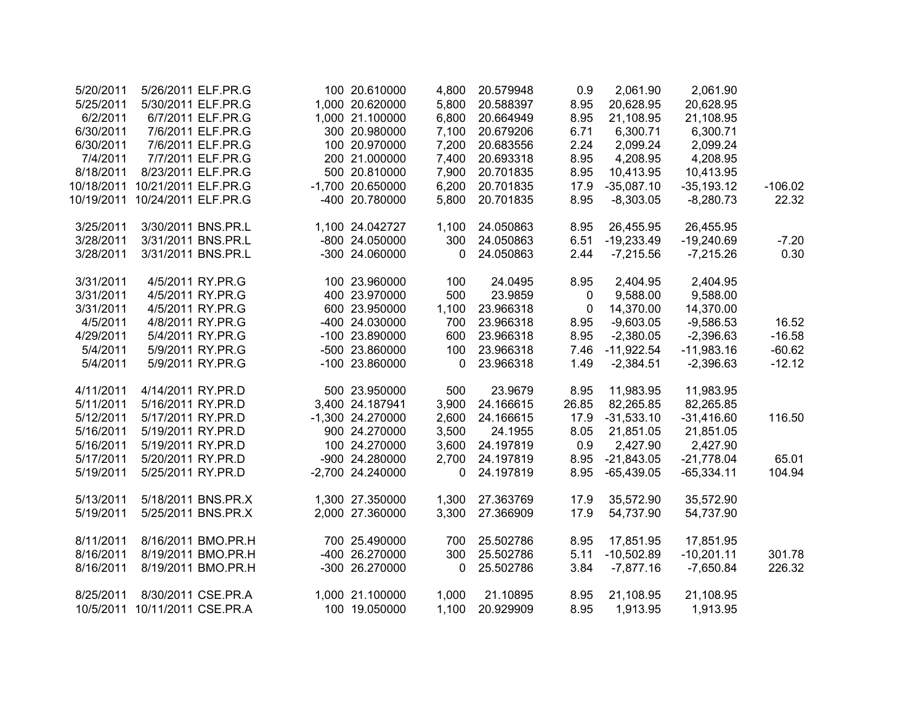| 5/20/2011  |                               | 5/26/2011 ELF.PR.G | 100 20.610000    | 4,800 | 20.579948 | 0.9         | 2,061.90     | 2,061.90     |           |
|------------|-------------------------------|--------------------|------------------|-------|-----------|-------------|--------------|--------------|-----------|
| 5/25/2011  |                               | 5/30/2011 ELF.PR.G | 1,000 20.620000  | 5,800 | 20.588397 | 8.95        | 20,628.95    | 20,628.95    |           |
| 6/2/2011   |                               | 6/7/2011 ELF.PR.G  | 1,000 21.100000  | 6,800 | 20.664949 | 8.95        | 21,108.95    | 21,108.95    |           |
| 6/30/2011  |                               | 7/6/2011 ELF.PR.G  | 300 20.980000    | 7,100 | 20.679206 | 6.71        | 6,300.71     | 6,300.71     |           |
| 6/30/2011  |                               | 7/6/2011 ELF.PR.G  | 100 20.970000    | 7,200 | 20.683556 | 2.24        | 2,099.24     | 2,099.24     |           |
| 7/4/2011   |                               | 7/7/2011 ELF.PR.G  | 200 21.000000    | 7,400 | 20.693318 | 8.95        | 4,208.95     | 4,208.95     |           |
| 8/18/2011  |                               | 8/23/2011 ELF.PR.G | 500 20.810000    | 7,900 | 20.701835 | 8.95        | 10,413.95    | 10,413.95    |           |
| 10/18/2011 | 10/21/2011 ELF.PR.G           |                    | -1,700 20.650000 | 6,200 | 20.701835 | 17.9        | $-35,087.10$ | $-35,193.12$ | $-106.02$ |
| 10/19/2011 | 10/24/2011 ELF.PR.G           |                    | -400 20.780000   | 5,800 | 20.701835 | 8.95        | $-8,303.05$  | $-8,280.73$  | 22.32     |
| 3/25/2011  |                               | 3/30/2011 BNS.PR.L | 1,100 24.042727  | 1,100 | 24.050863 | 8.95        | 26,455.95    | 26,455.95    |           |
| 3/28/2011  |                               | 3/31/2011 BNS.PR.L | -800 24.050000   | 300   | 24.050863 | 6.51        | $-19,233.49$ | $-19,240.69$ | $-7.20$   |
| 3/28/2011  |                               | 3/31/2011 BNS.PR.L | -300 24.060000   | 0     | 24.050863 | 2.44        | $-7,215.56$  | $-7,215.26$  | 0.30      |
| 3/31/2011  |                               | 4/5/2011 RY.PR.G   | 100 23.960000    | 100   | 24.0495   | 8.95        | 2,404.95     | 2,404.95     |           |
| 3/31/2011  |                               | 4/5/2011 RY.PR.G   | 400 23.970000    | 500   | 23.9859   | $\mathbf 0$ | 9,588.00     | 9,588.00     |           |
| 3/31/2011  |                               | 4/5/2011 RY.PR.G   | 600 23.950000    | 1,100 | 23.966318 | 0           | 14,370.00    | 14,370.00    |           |
| 4/5/2011   |                               | 4/8/2011 RY.PR.G   | -400 24.030000   | 700   | 23.966318 | 8.95        | $-9,603.05$  | $-9,586.53$  | 16.52     |
| 4/29/2011  |                               | 5/4/2011 RY.PR.G   | -100 23.890000   | 600   | 23.966318 | 8.95        | $-2,380.05$  | $-2,396.63$  | $-16.58$  |
| 5/4/2011   |                               | 5/9/2011 RY.PR.G   | -500 23.860000   | 100   | 23.966318 | 7.46        | $-11,922.54$ | $-11,983.16$ | $-60.62$  |
| 5/4/2011   |                               | 5/9/2011 RY.PR.G   | -100 23.860000   | 0     | 23.966318 | 1.49        | $-2,384.51$  | $-2,396.63$  | $-12.12$  |
| 4/11/2011  | 4/14/2011 RY.PR.D             |                    | 500 23.950000    | 500   | 23.9679   | 8.95        | 11,983.95    | 11,983.95    |           |
| 5/11/2011  | 5/16/2011 RY.PR.D             |                    | 3,400 24.187941  | 3,900 | 24.166615 | 26.85       | 82,265.85    | 82,265.85    |           |
| 5/12/2011  | 5/17/2011 RY.PR.D             |                    | -1,300 24.270000 | 2,600 | 24.166615 | 17.9        | $-31,533.10$ | $-31,416.60$ | 116.50    |
| 5/16/2011  | 5/19/2011 RY.PR.D             |                    | 900 24.270000    | 3,500 | 24.1955   | 8.05        | 21,851.05    | 21,851.05    |           |
| 5/16/2011  | 5/19/2011 RY.PR.D             |                    | 100 24.270000    | 3,600 | 24.197819 | 0.9         | 2,427.90     | 2,427.90     |           |
| 5/17/2011  | 5/20/2011 RY.PR.D             |                    | -900 24.280000   | 2,700 | 24.197819 | 8.95        | $-21,843.05$ | $-21,778.04$ | 65.01     |
| 5/19/2011  | 5/25/2011 RY.PR.D             |                    | -2,700 24.240000 | 0     | 24.197819 | 8.95        | $-65,439.05$ | $-65,334.11$ | 104.94    |
| 5/13/2011  |                               | 5/18/2011 BNS.PR.X | 1,300 27.350000  | 1,300 | 27.363769 | 17.9        | 35,572.90    | 35,572.90    |           |
| 5/19/2011  |                               | 5/25/2011 BNS.PR.X | 2,000 27.360000  | 3,300 | 27.366909 | 17.9        | 54,737.90    | 54,737.90    |           |
| 8/11/2011  |                               | 8/16/2011 BMO.PR.H | 700 25.490000    | 700   | 25.502786 | 8.95        | 17,851.95    | 17,851.95    |           |
| 8/16/2011  |                               | 8/19/2011 BMO.PR.H | -400 26.270000   | 300   | 25.502786 | 5.11        | $-10,502.89$ | $-10,201.11$ | 301.78    |
| 8/16/2011  |                               | 8/19/2011 BMO.PR.H | -300 26.270000   | 0     | 25.502786 | 3.84        | $-7,877.16$  | $-7,650.84$  | 226.32    |
| 8/25/2011  |                               | 8/30/2011 CSE.PR.A | 1,000 21.100000  | 1,000 | 21.10895  | 8.95        | 21,108.95    | 21,108.95    |           |
|            | 10/5/2011 10/11/2011 CSE.PR.A |                    | 100 19.050000    | 1,100 | 20.929909 | 8.95        | 1,913.95     | 1,913.95     |           |